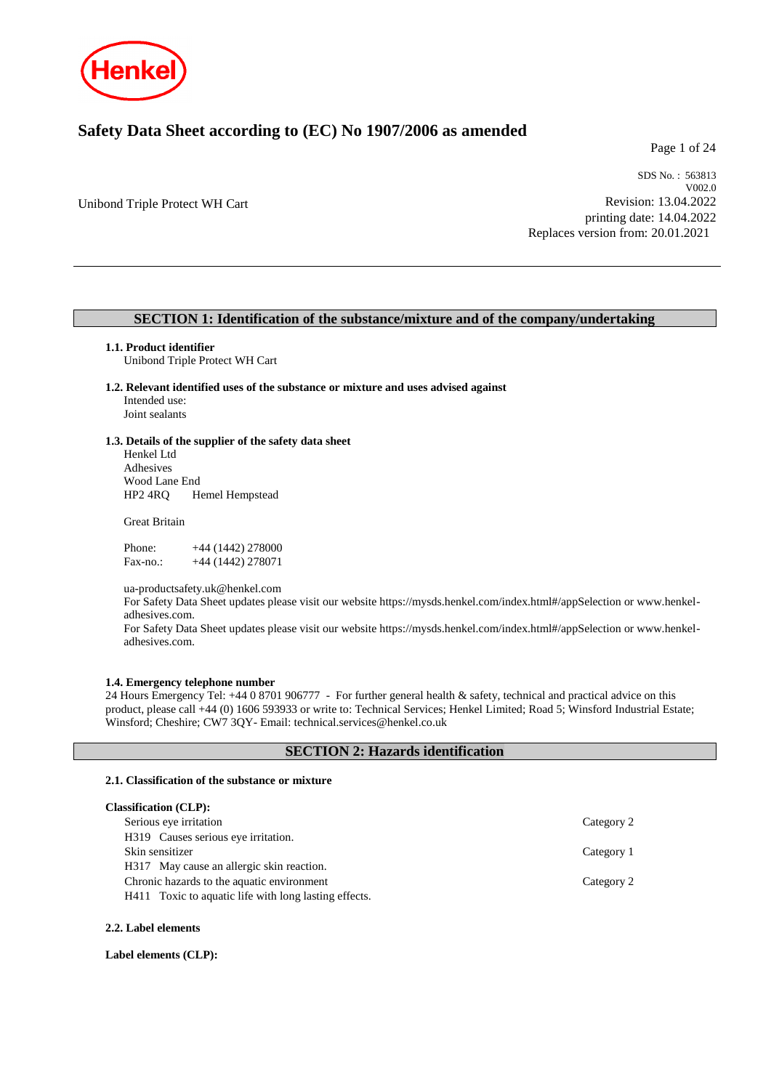

# **Safety Data Sheet according to (EC) No 1907/2006 as amended**

Page 1 of 24

Unibond Triple Protect WH Cart

SDS No. : 563813 V002.0 Revision: 13.04.2022 printing date: 14.04.2022 Replaces version from: 20.01.2021

# **SECTION 1: Identification of the substance/mixture and of the company/undertaking**

#### **1.1. Product identifier**

Unibond Triple Protect WH Cart

**1.2. Relevant identified uses of the substance or mixture and uses advised against** Intended use:

Joint sealants

#### **1.3. Details of the supplier of the safety data sheet**

Henkel Ltd Adhesives Wood Lane End HP2 4RQ Hemel Hempstead

Great Britain

Phone: +44 (1442) 278000 Fax-no.: +44 (1442) 278071

ua-productsafety.uk@henkel.com

For Safety Data Sheet updates please visit our website https://mysds.henkel.com/index.html#/appSelection or www.henkeladhesives.com.

For Safety Data Sheet updates please visit our website https://mysds.henkel.com/index.html#/appSelection or www.henkeladhesives.com.

#### **1.4. Emergency telephone number**

24 Hours Emergency Tel: +44 0 8701 906777 - For further general health & safety, technical and practical advice on this product, please call +44 (0) 1606 593933 or write to: Technical Services; Henkel Limited; Road 5; Winsford Industrial Estate; Winsford; Cheshire; CW7 3QY- Email: technical.services@henkel.co.uk

#### **SECTION 2: Hazards identification**

#### **2.1. Classification of the substance or mixture**

| <b>Classification (CLP):</b>                          |            |
|-------------------------------------------------------|------------|
| Serious eye irritation                                | Category 2 |
| H319 Causes serious eye irritation.                   |            |
| Skin sensitizer                                       | Category 1 |
| H317 May cause an allergic skin reaction.             |            |
| Chronic hazards to the aquatic environment            | Category 2 |
| H411 Toxic to aquatic life with long lasting effects. |            |
|                                                       |            |

## **2.2. Label elements**

**Label elements (CLP):**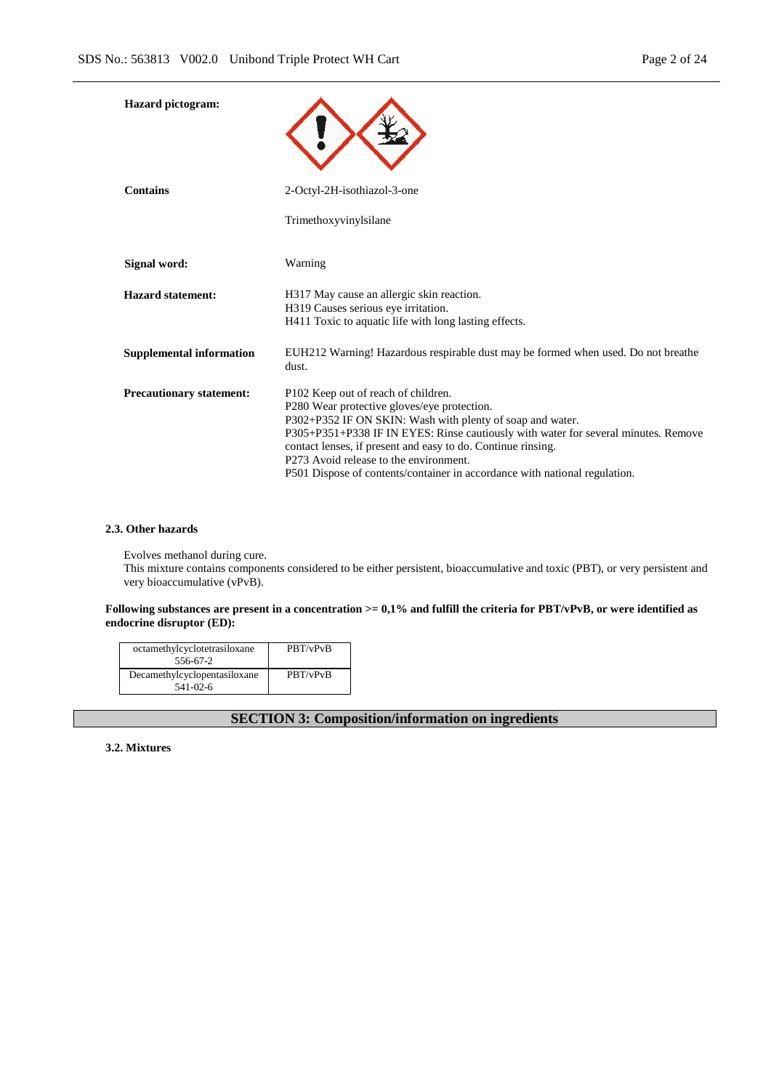| <b>Hazard</b> pictogram:        |                                                                                                                                                                                                                                                                                                                                                                                                                               |
|---------------------------------|-------------------------------------------------------------------------------------------------------------------------------------------------------------------------------------------------------------------------------------------------------------------------------------------------------------------------------------------------------------------------------------------------------------------------------|
| <b>Contains</b>                 | 2-Octyl-2H-isothiazol-3-one                                                                                                                                                                                                                                                                                                                                                                                                   |
|                                 | Trimethoxyvinylsilane                                                                                                                                                                                                                                                                                                                                                                                                         |
| Signal word:                    | Warning                                                                                                                                                                                                                                                                                                                                                                                                                       |
| <b>Hazard statement:</b>        | H317 May cause an allergic skin reaction.<br>H319 Causes serious eye irritation.<br>H411 Toxic to aquatic life with long lasting effects.                                                                                                                                                                                                                                                                                     |
| <b>Supplemental information</b> | EUH212 Warning! Hazardous respirable dust may be formed when used. Do not breathe<br>dust.                                                                                                                                                                                                                                                                                                                                    |
| <b>Precautionary statement:</b> | P102 Keep out of reach of children.<br>P280 Wear protective gloves/eye protection.<br>P302+P352 IF ON SKIN: Wash with plenty of soap and water.<br>P305+P351+P338 IF IN EYES: Rinse cautiously with water for several minutes. Remove<br>contact lenses, if present and easy to do. Continue rinsing.<br>P273 Avoid release to the environment.<br>P501 Dispose of contents/container in accordance with national regulation. |

# **2.3. Other hazards**

Evolves methanol during cure.

This mixture contains components considered to be either persistent, bioaccumulative and toxic (PBT), or very persistent and very bioaccumulative (vPvB).

#### **Following substances are present in a concentration >= 0,1% and fulfill the criteria for PBT/vPvB, or were identified as endocrine disruptor (ED):**

| octamethylcyclotetrasiloxane<br>556-67-2       | PBT/vPvB |
|------------------------------------------------|----------|
| Decamethylcyclopentasiloxane<br>$541 - 02 - 6$ | PBT/vPvB |

# **SECTION 3: Composition/information on ingredients**

**3.2. Mixtures**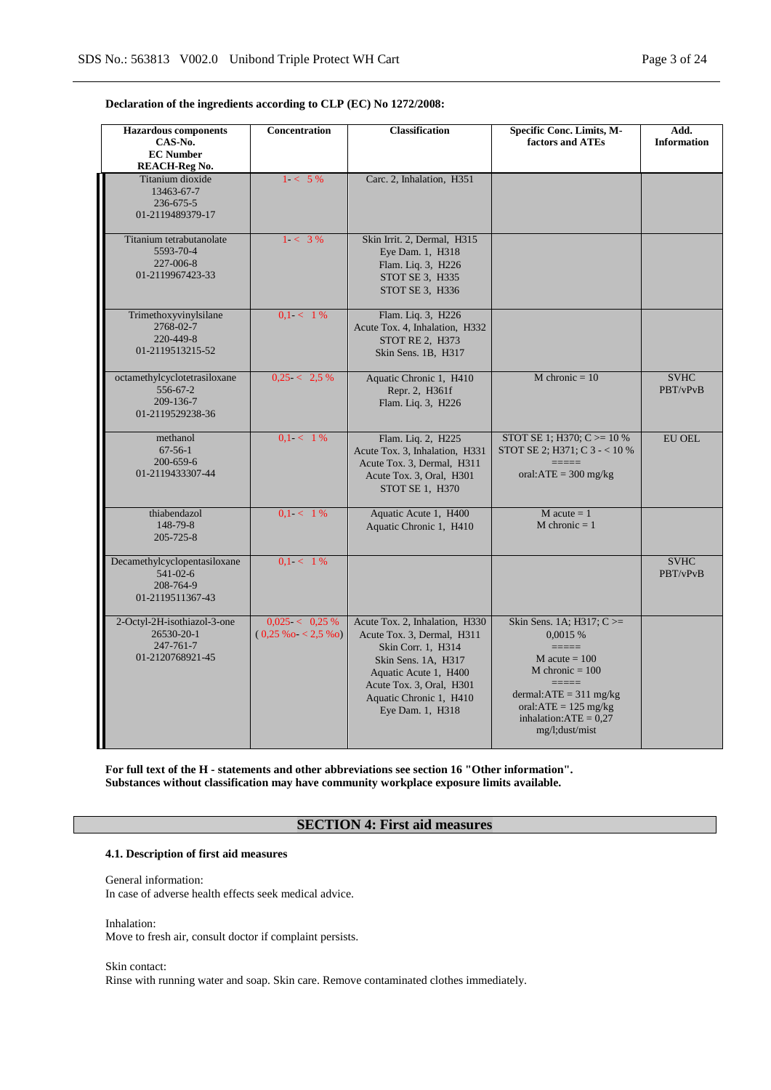## **Declaration of the ingredients according to CLP (EC) No 1272/2008:**

| <b>Hazardous</b> components<br>CAS-No.<br><b>EC</b> Number<br><b>REACH-Reg No.</b> | Concentration                           | <b>Classification</b>                                                                                                                                                                                         | Specific Conc. Limits, M-<br>factors and ATEs                                                                                                                                                               | Add.<br><b>Information</b> |
|------------------------------------------------------------------------------------|-----------------------------------------|---------------------------------------------------------------------------------------------------------------------------------------------------------------------------------------------------------------|-------------------------------------------------------------------------------------------------------------------------------------------------------------------------------------------------------------|----------------------------|
| Titanium dioxide<br>13463-67-7<br>236-675-5<br>01-2119489379-17                    | $1 < 5\%$                               | Carc. 2, Inhalation, H351                                                                                                                                                                                     |                                                                                                                                                                                                             |                            |
| Titanium tetrabutanolate<br>5593-70-4<br>227-006-8<br>01-2119967423-33             | $1 < 3\%$                               | Skin Irrit. 2, Dermal, H315<br>Eye Dam. 1, H318<br>Flam. Liq. 3, H226<br>STOT SE 3, H335<br>STOT SE 3, H336                                                                                                   |                                                                                                                                                                                                             |                            |
| Trimethoxyvinylsilane<br>2768-02-7<br>220-449-8<br>01-2119513215-52                | $0.1 < 1\%$                             | Flam. Liq. 3, H226<br>Acute Tox. 4, Inhalation, H332<br>STOT RE 2, H373<br>Skin Sens. 1B, H317                                                                                                                |                                                                                                                                                                                                             |                            |
| octamethylcyclotetrasiloxane<br>$556 - 67 - 2$<br>209-136-7<br>01-2119529238-36    | $0.25 < 2.5 \%$                         | Aquatic Chronic 1, H410<br>Repr. 2, H361f<br>Flam. Liq. 3, H226                                                                                                                                               | M chronic $= 10$                                                                                                                                                                                            | <b>SVHC</b><br>PBT/vPvB    |
| methanol<br>$67-56-1$<br>200-659-6<br>01-2119433307-44                             | $0.1 < 1\%$                             | Flam. Liq. 2, H225<br>Acute Tox. 3, Inhalation, H331<br>Acute Tox. 3, Dermal, H311<br>Acute Tox. 3, Oral, H301<br>STOT SE 1, H370                                                                             | STOT SE 1; H370; C $> = 10$ %<br>STOT SE 2; H371; C $3 - < 10\%$<br>oral: $ATE = 300$ mg/kg                                                                                                                 | <b>EU OEL</b>              |
| thiabendazol<br>148-79-8<br>205-725-8                                              | $0.1 < 1\%$                             | Aquatic Acute 1, H400<br>Aquatic Chronic 1, H410                                                                                                                                                              | $M$ acute = 1<br>$M$ chronic = 1                                                                                                                                                                            |                            |
| Decamethylcyclopentasiloxane<br>$541 - 02 - 6$<br>208-764-9<br>01-2119511367-43    | $0.1 < 1\%$                             |                                                                                                                                                                                                               |                                                                                                                                                                                                             | <b>SVHC</b><br>PBT/vPvB    |
| 2-Octyl-2H-isothiazol-3-one<br>26530-20-1<br>247-761-7<br>01-2120768921-45         | $0.025 < 0.25 \%$<br>$(0,25\%o<2,5\%o)$ | Acute Tox. 2, Inhalation, H330<br>Acute Tox. 3, Dermal, H311<br>Skin Corr. 1, H314<br>Skin Sens. 1A, H317<br>Aquatic Acute 1, H400<br>Acute Tox. 3, Oral, H301<br>Aquatic Chronic 1, H410<br>Eye Dam. 1, H318 | Skin Sens. 1A; H317; C >=<br>0,0015 %<br>$=$ $=$ $=$ $=$ $=$<br>$M$ acute = 100<br>M chronic $= 100$<br>dermal: $ATE = 311$ mg/kg<br>oral: $ATE = 125$ mg/kg<br>inhalation: $ATE = 0.27$<br>mg/l; dust/mist |                            |

**For full text of the H - statements and other abbreviations see section 16 "Other information". Substances without classification may have community workplace exposure limits available.**

# **SECTION 4: First aid measures**

#### **4.1. Description of first aid measures**

General information: In case of adverse health effects seek medical advice.

Inhalation: Move to fresh air, consult doctor if complaint persists.

Skin contact: Rinse with running water and soap. Skin care. Remove contaminated clothes immediately.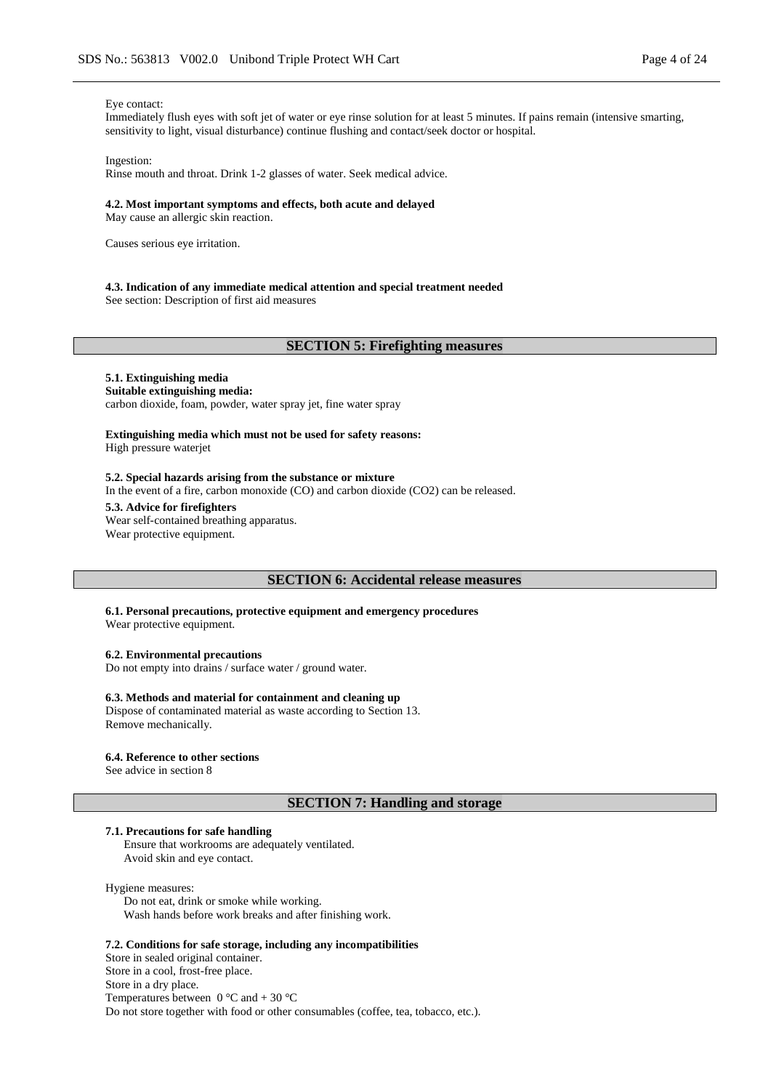#### Eye contact:

Immediately flush eyes with soft jet of water or eye rinse solution for at least 5 minutes. If pains remain (intensive smarting, sensitivity to light, visual disturbance) continue flushing and contact/seek doctor or hospital.

#### Ingestion:

Rinse mouth and throat. Drink 1-2 glasses of water. Seek medical advice.

#### **4.2. Most important symptoms and effects, both acute and delayed**

May cause an allergic skin reaction.

Causes serious eye irritation.

#### **4.3. Indication of any immediate medical attention and special treatment needed**

See section: Description of first aid measures

#### **SECTION 5: Firefighting measures**

## **5.1. Extinguishing media**

**Suitable extinguishing media:** carbon dioxide, foam, powder, water spray jet, fine water spray

#### **Extinguishing media which must not be used for safety reasons:** High pressure waterjet

#### **5.2. Special hazards arising from the substance or mixture**

In the event of a fire, carbon monoxide (CO) and carbon dioxide (CO2) can be released.

#### **5.3. Advice for firefighters**

Wear self-contained breathing apparatus. Wear protective equipment.

#### **SECTION 6: Accidental release measures**

**6.1. Personal precautions, protective equipment and emergency procedures** Wear protective equipment.

**6.2. Environmental precautions**

Do not empty into drains / surface water / ground water.

#### **6.3. Methods and material for containment and cleaning up**

Dispose of contaminated material as waste according to Section 13. Remove mechanically.

#### **6.4. Reference to other sections**

See advice in section 8

## **SECTION 7: Handling and storage**

#### **7.1. Precautions for safe handling**

Ensure that workrooms are adequately ventilated. Avoid skin and eye contact.

#### Hygiene measures:

Do not eat, drink or smoke while working. Wash hands before work breaks and after finishing work.

#### **7.2. Conditions for safe storage, including any incompatibilities**

Store in sealed original container. Store in a cool, frost-free place. Store in a dry place. Temperatures between  $0^{\circ}$ C and  $+ 30^{\circ}$ C Do not store together with food or other consumables (coffee, tea, tobacco, etc.).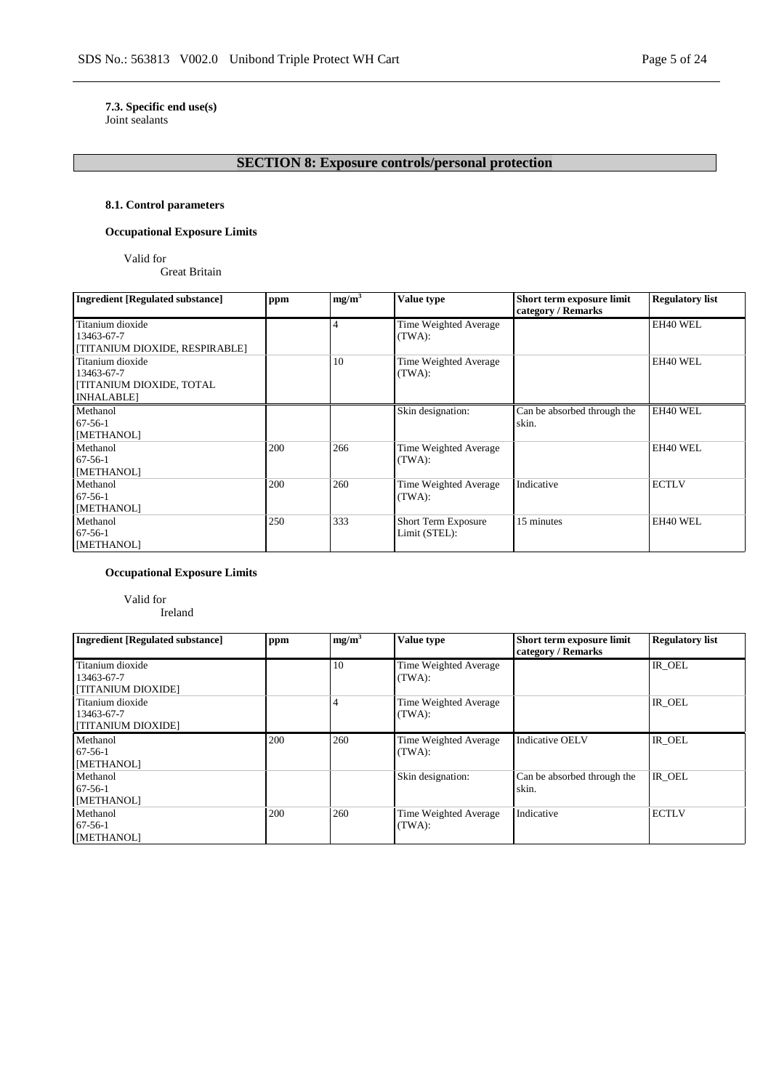# **7.3. Specific end use(s)**

Joint sealants

# **SECTION 8: Exposure controls/personal protection**

#### **8.1. Control parameters**

# **Occupational Exposure Limits**

Valid for

Great Britain

| Ingredient [Regulated substance] | ppm | mg/m <sup>3</sup> | <b>Value type</b>     | Short term exposure limit<br>category / Remarks | <b>Regulatory list</b> |
|----------------------------------|-----|-------------------|-----------------------|-------------------------------------------------|------------------------|
| Titanium dioxide                 |     | 4                 | Time Weighted Average |                                                 | EH40 WEL               |
| 13463-67-7                       |     |                   | (TWA):                |                                                 |                        |
| [TITANIUM DIOXIDE, RESPIRABLE]   |     |                   |                       |                                                 |                        |
| Titanium dioxide                 |     | 10                | Time Weighted Average |                                                 | EH40 WEL               |
| 13463-67-7                       |     |                   | (TWA):                |                                                 |                        |
| <b>TITANIUM DIOXIDE, TOTAL</b>   |     |                   |                       |                                                 |                        |
| <b>INHALABLE</b>                 |     |                   |                       |                                                 |                        |
| Methanol                         |     |                   | Skin designation:     | Can be absorbed through the                     | EH40 WEL               |
| $67-56-1$                        |     |                   |                       | skin.                                           |                        |
| [METHANOL]                       |     |                   |                       |                                                 |                        |
| Methanol                         | 200 | 266               | Time Weighted Average |                                                 | EH40 WEL               |
| $67-56-1$                        |     |                   | (TWA):                |                                                 |                        |
| [METHANOL]                       |     |                   |                       |                                                 |                        |
| Methanol                         | 200 | 260               | Time Weighted Average | Indicative                                      | <b>ECTLV</b>           |
| $67-56-1$                        |     |                   | (TWA):                |                                                 |                        |
| [METHANOL]                       |     |                   |                       |                                                 |                        |
| Methanol                         | 250 | 333               | Short Term Exposure   | 15 minutes                                      | EH40 WEL               |
| $67-56-1$                        |     |                   | Limit (STEL):         |                                                 |                        |
| [METHANOL]                       |     |                   |                       |                                                 |                        |

### **Occupational Exposure Limits**

Valid for Ireland

| <b>Ingredient [Regulated substance]</b>              | ppm | mg/m <sup>3</sup> | Value type                      | Short term exposure limit<br>category / Remarks | <b>Regulatory list</b> |
|------------------------------------------------------|-----|-------------------|---------------------------------|-------------------------------------------------|------------------------|
| Titanium dioxide<br>13463-67-7<br>[TITANIUM DIOXIDE] |     | 10                | Time Weighted Average<br>(TWA): |                                                 | IR OEL                 |
| Titanium dioxide<br>13463-67-7<br>[TITANIUM DIOXIDE] |     |                   | Time Weighted Average<br>(TWA): |                                                 | IR OEL                 |
| Methanol<br>$67-56-1$<br>[METHANOL]                  | 200 | 260               | Time Weighted Average<br>(TWA): | <b>Indicative OELV</b>                          | IR OEL                 |
| Methanol<br>$67 - 56 - 1$<br>[METHANOL]              |     |                   | Skin designation:               | Can be absorbed through the<br>skin.            | IR OEL                 |
| Methanol<br>$67 - 56 - 1$<br><b>IMETHANOLI</b>       | 200 | 260               | Time Weighted Average<br>(TWA): | Indicative                                      | <b>ECTLV</b>           |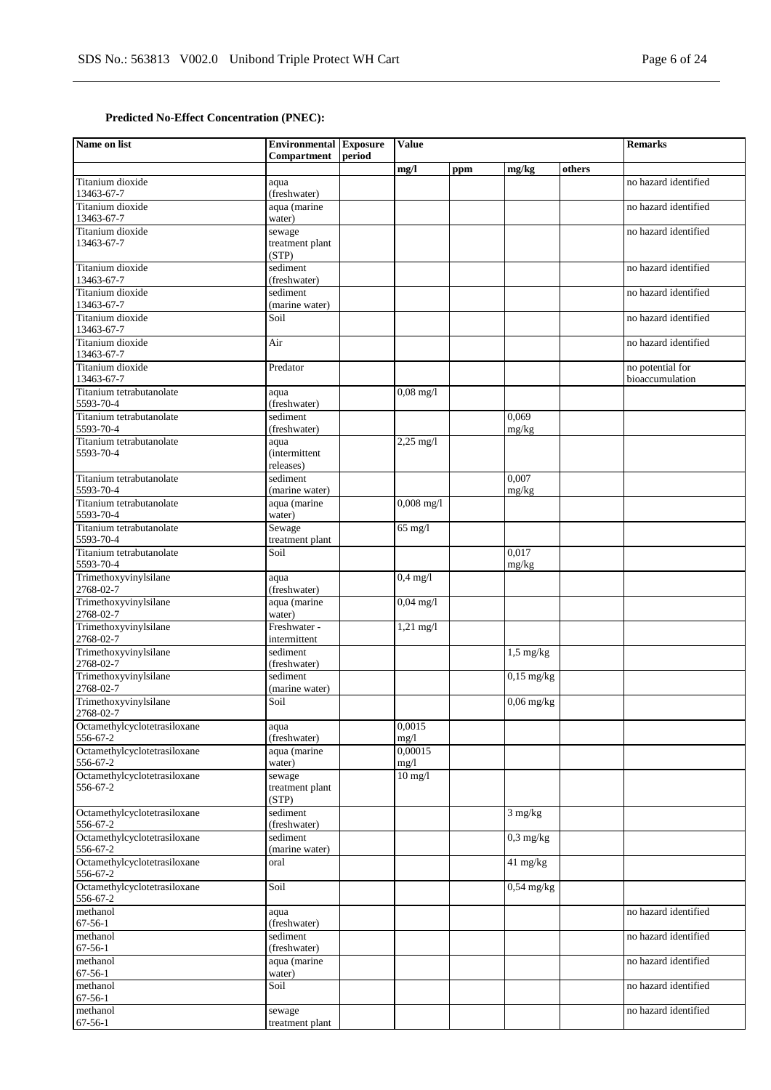# **Predicted No-Effect Concentration (PNEC):**

| Name on list                             | <b>Environmental</b> Exposure<br>Compartment | period | <b>Value</b>        |     |                         |        | <b>Remarks</b>       |
|------------------------------------------|----------------------------------------------|--------|---------------------|-----|-------------------------|--------|----------------------|
|                                          |                                              |        | mg/l                | ppm | mg/kg                   | others |                      |
| Titanium dioxide                         | aqua                                         |        |                     |     |                         |        | no hazard identified |
| 13463-67-7                               | (freshwater)                                 |        |                     |     |                         |        |                      |
| Titanium dioxide                         | aqua (marine                                 |        |                     |     |                         |        | no hazard identified |
| 13463-67-7<br>Titanium dioxide           | water)                                       |        |                     |     |                         |        |                      |
| 13463-67-7                               | sewage<br>treatment plant                    |        |                     |     |                         |        | no hazard identified |
|                                          | (STP)                                        |        |                     |     |                         |        |                      |
| Titanium dioxide                         | sediment                                     |        |                     |     |                         |        | no hazard identified |
| 13463-67-7                               | (freshwater)                                 |        |                     |     |                         |        |                      |
| Titanium dioxide                         | sediment                                     |        |                     |     |                         |        | no hazard identified |
| 13463-67-7<br>Titanium dioxide           | (marine water)<br>Soil                       |        |                     |     |                         |        | no hazard identified |
| 13463-67-7                               |                                              |        |                     |     |                         |        |                      |
| Titanium dioxide                         | Air                                          |        |                     |     |                         |        | no hazard identified |
| 13463-67-7                               |                                              |        |                     |     |                         |        |                      |
| Titanium dioxide                         | Predator                                     |        |                     |     |                         |        | no potential for     |
| 13463-67-7                               |                                              |        |                     |     |                         |        | bioaccumulation      |
| Titanium tetrabutanolate<br>5593-70-4    | aqua<br>(freshwater)                         |        | $0,08 \text{ mg}/1$ |     |                         |        |                      |
| Titanium tetrabutanolate                 | sediment                                     |        |                     |     | 0,069                   |        |                      |
| 5593-70-4                                | (freshwater)                                 |        |                     |     | mg/kg                   |        |                      |
| Titanium tetrabutanolate                 | aqua                                         |        | $2,25$ mg/l         |     |                         |        |                      |
| 5593-70-4                                | <i>(intermittent)</i>                        |        |                     |     |                         |        |                      |
| Titanium tetrabutanolate                 | releases)<br>sediment                        |        |                     |     | 0.007                   |        |                      |
| 5593-70-4                                | (marine water)                               |        |                     |     | mg/kg                   |        |                      |
| Titanium tetrabutanolate                 | aqua (marine                                 |        | $0,008$ mg/l        |     |                         |        |                      |
| 5593-70-4                                | water)                                       |        |                     |     |                         |        |                      |
| Titanium tetrabutanolate                 | Sewage                                       |        | $65$ mg/l           |     |                         |        |                      |
| 5593-70-4                                | treatment plant                              |        |                     |     |                         |        |                      |
| Titanium tetrabutanolate<br>5593-70-4    | Soil                                         |        |                     |     | 0.017<br>mg/kg          |        |                      |
| Trimethoxyvinylsilane                    | aqua                                         |        | $0,4$ mg/l          |     |                         |        |                      |
| 2768-02-7                                | (freshwater)                                 |        |                     |     |                         |        |                      |
| Trimethoxyvinylsilane                    | aqua (marine                                 |        | $0,04 \text{ mg}/1$ |     |                         |        |                      |
| 2768-02-7                                | water)                                       |        |                     |     |                         |        |                      |
| Trimethoxyvinylsilane<br>2768-02-7       | Freshwater -<br>intermittent                 |        | $1,21$ mg/l         |     |                         |        |                      |
| Trimethoxyvinylsilane                    | sediment                                     |        |                     |     | $1,5$ mg/kg             |        |                      |
| 2768-02-7                                | (freshwater)                                 |        |                     |     |                         |        |                      |
| Trimethoxyvinylsilane                    | sediment                                     |        |                     |     | $0,15$ mg/kg            |        |                      |
| 2768-02-7                                | (marine water)                               |        |                     |     |                         |        |                      |
| Trimethoxyvinylsilane<br>2768-02-7       | Soil                                         |        |                     |     | $\overline{0,06}$ mg/kg |        |                      |
| Octamethylcyclotetrasiloxane             | aqua                                         |        | 0,0015              |     |                         |        |                      |
| 556-67-2                                 | (freshwater)                                 |        | mg/1                |     |                         |        |                      |
| Octamethylcyclotetrasiloxane             | aqua (marine                                 |        | 0,00015             |     |                         |        |                      |
| 556-67-2                                 | water)                                       |        | mg/1                |     |                         |        |                      |
| Octamethylcyclotetrasiloxane             | sewage                                       |        | $10$ mg/l           |     |                         |        |                      |
| 556-67-2                                 | treatment plant<br>(STP)                     |        |                     |     |                         |        |                      |
| Octamethylcyclotetrasiloxane             | sediment                                     |        |                     |     | $3$ mg/kg               |        |                      |
| 556-67-2                                 | (freshwater)                                 |        |                     |     |                         |        |                      |
| Octamethylcyclotetrasiloxane             | sediment                                     |        |                     |     | $0.3$ mg/kg             |        |                      |
| 556-67-2                                 | (marine water)                               |        |                     |     |                         |        |                      |
| Octamethylcyclotetrasiloxane<br>556-67-2 | oral                                         |        |                     |     | $41 \text{ mg/kg}$      |        |                      |
| Octamethylcyclotetrasiloxane             | Soil                                         |        |                     |     | $0,54$ mg/kg            |        |                      |
| 556-67-2                                 |                                              |        |                     |     |                         |        |                      |
| methanol                                 | aqua                                         |        |                     |     |                         |        | no hazard identified |
| $67-56-1$                                | (freshwater)                                 |        |                     |     |                         |        |                      |
| methanol<br>$67 - 56 - 1$                | sediment<br>(freshwater)                     |        |                     |     |                         |        | no hazard identified |
| methanol                                 | aqua (marine                                 |        |                     |     |                         |        | no hazard identified |
| $67 - 56 - 1$                            | water)                                       |        |                     |     |                         |        |                      |
| methanol                                 | Soil                                         |        |                     |     |                         |        | no hazard identified |
| $67 - 56 - 1$                            |                                              |        |                     |     |                         |        |                      |
| methanol<br>$67 - 56 - 1$                | sewage                                       |        |                     |     |                         |        | no hazard identified |
|                                          | treatment plant                              |        |                     |     |                         |        |                      |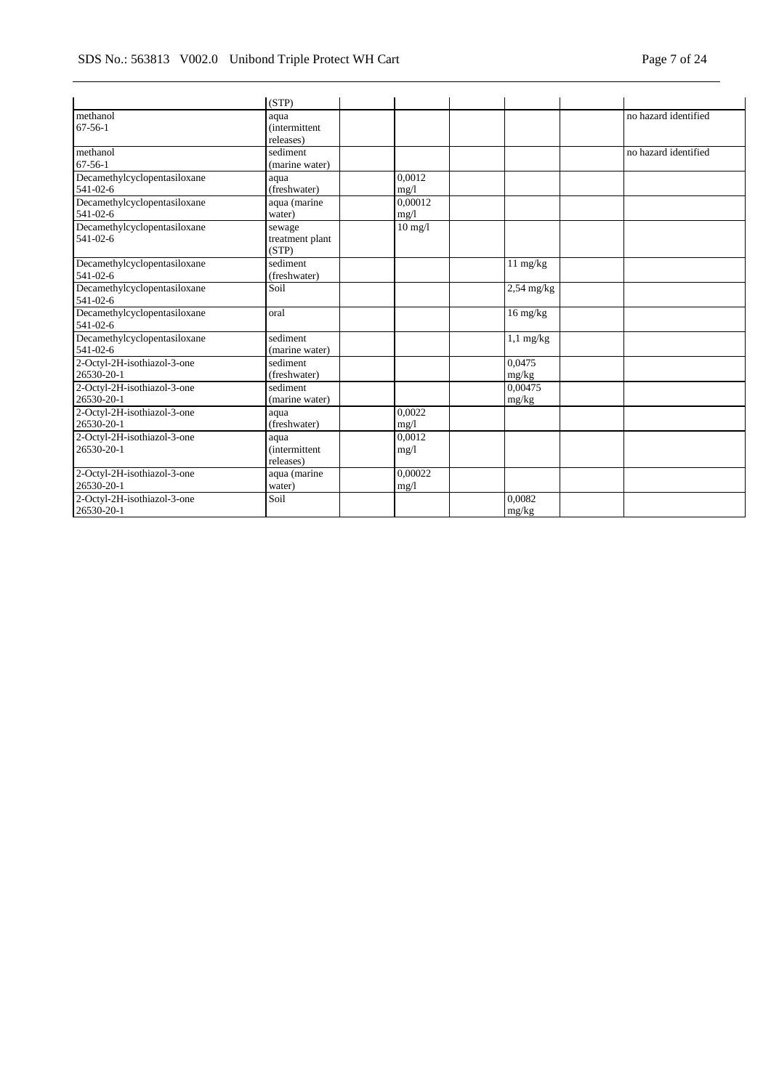|                                                | (STP)                                      |                   |                    |                      |
|------------------------------------------------|--------------------------------------------|-------------------|--------------------|----------------------|
| methanol<br>$67 - 56 - 1$                      | aqua<br><i>(intermittent)</i><br>releases) |                   |                    | no hazard identified |
| methanol<br>$67 - 56 - 1$                      | sediment<br>(marine water)                 |                   |                    | no hazard identified |
| Decamethylcyclopentasiloxane<br>541-02-6       | aqua<br>(freshwater)                       | 0.0012<br>mg/l    |                    |                      |
| Decamethylcyclopentasiloxane<br>541-02-6       | aqua (marine<br>water)                     | 0.00012<br>mg/1   |                    |                      |
| Decamethylcyclopentasiloxane<br>$541 - 02 - 6$ | sewage<br>treatment plant<br>(STP)         | $10 \text{ mg}/l$ |                    |                      |
| Decamethylcyclopentasiloxane<br>541-02-6       | sediment<br>(freshwater)                   |                   | 11 mg/kg           |                      |
| Decamethylcyclopentasiloxane<br>541-02-6       | Soil                                       |                   | $2,54$ mg/kg       |                      |
| Decamethylcyclopentasiloxane<br>$541 - 02 - 6$ | oral                                       |                   | $16 \text{ mg/kg}$ |                      |
| Decamethylcyclopentasiloxane<br>541-02-6       | sediment<br>(marine water)                 |                   | $1,1$ mg/kg        |                      |
| 2-Octyl-2H-isothiazol-3-one<br>26530-20-1      | sediment<br>(freshwater)                   |                   | 0.0475<br>mg/kg    |                      |
| 2-Octyl-2H-isothiazol-3-one<br>26530-20-1      | sediment<br>(marine water)                 |                   | 0.00475<br>mg/kg   |                      |
| 2-Octyl-2H-isothiazol-3-one<br>26530-20-1      | aqua<br>(freshwater)                       | 0.0022<br>mg/1    |                    |                      |
| 2-Octyl-2H-isothiazol-3-one<br>26530-20-1      | aqua<br><i>(intermittent)</i><br>releases) | 0.0012<br>mg/1    |                    |                      |
| 2-Octyl-2H-isothiazol-3-one<br>26530-20-1      | aqua (marine<br>water)                     | 0.00022<br>mg/l   |                    |                      |
| 2-Octyl-2H-isothiazol-3-one<br>26530-20-1      | Soil                                       |                   | 0.0082<br>mg/kg    |                      |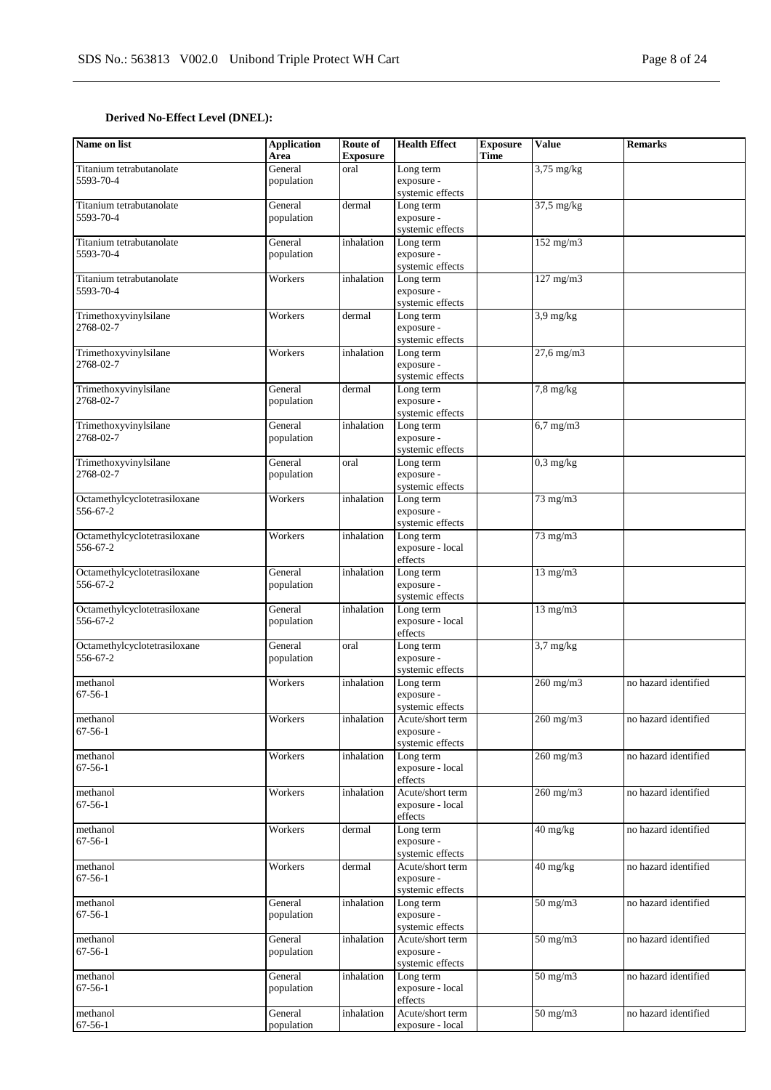# **Derived No-Effect Level (DNEL):**

| Name on list                             | <b>Application</b><br>Area | Route of<br><b>Exposure</b> | <b>Health Effect</b>                               | <b>Exposure</b><br><b>Time</b> | <b>Value</b>            | <b>Remarks</b>       |
|------------------------------------------|----------------------------|-----------------------------|----------------------------------------------------|--------------------------------|-------------------------|----------------------|
| Titanium tetrabutanolate<br>5593-70-4    | General<br>population      | oral                        | Long term<br>exposure -<br>systemic effects        |                                | $3,75$ mg/kg            |                      |
| Titanium tetrabutanolate<br>5593-70-4    | General<br>population      | dermal                      | Long term<br>exposure -<br>systemic effects        |                                | $37,5 \,\mathrm{mg/kg}$ |                      |
| Titanium tetrabutanolate<br>5593-70-4    | General<br>population      | inhalation                  | Long term<br>exposure -<br>systemic effects        |                                | $152$ mg/m $3$          |                      |
| Titanium tetrabutanolate<br>5593-70-4    | Workers                    | inhalation                  | Long term<br>exposure -<br>systemic effects        |                                | 127 mg/m3               |                      |
| Trimethoxyvinylsilane<br>2768-02-7       | Workers                    | dermal                      | Long term<br>exposure -<br>systemic effects        |                                | $3.9 \text{ mg/kg}$     |                      |
| Trimethoxyvinylsilane<br>2768-02-7       | Workers                    | inhalation                  | Long term<br>exposure -<br>systemic effects        |                                | $27,6$ mg/m $3$         |                      |
| Trimethoxyvinylsilane<br>2768-02-7       | General<br>population      | dermal                      | Long term<br>exposure -<br>systemic effects        |                                | $7,8$ mg/kg             |                      |
| Trimethoxyvinylsilane<br>2768-02-7       | General<br>population      | inhalation                  | Long term<br>exposure -<br>systemic effects        |                                | $6,7$ mg/m $3$          |                      |
| Trimethoxyvinylsilane<br>2768-02-7       | General<br>population      | oral                        | Long term<br>exposure -<br>systemic effects        |                                | $0,3$ mg/kg             |                      |
| Octamethylcyclotetrasiloxane<br>556-67-2 | Workers                    | inhalation                  | Long term<br>exposure -<br>systemic effects        |                                | $73 \text{ mg/m}$       |                      |
| Octamethylcyclotetrasiloxane<br>556-67-2 | Workers                    | inhalation                  | Long term<br>exposure - local<br>effects           |                                | 73 mg/m3                |                      |
| Octamethylcyclotetrasiloxane<br>556-67-2 | General<br>population      | inhalation                  | Long term<br>exposure -<br>systemic effects        |                                | $13 \text{ mg/m}$       |                      |
| Octamethylcyclotetrasiloxane<br>556-67-2 | General<br>population      | inhalation                  | Long term<br>exposure - local<br>effects           |                                | $13$ mg/m $3$           |                      |
| Octamethylcyclotetrasiloxane<br>556-67-2 | General<br>population      | oral                        | Long term<br>exposure -<br>systemic effects        |                                | $3.7 \text{ mg/kg}$     |                      |
| methanol<br>$67 - 56 - 1$                | Workers                    | inhalation                  | Long term<br>exposure -<br>systemic effects        |                                | 260 mg/m3               | no hazard identified |
| methanol<br>$67 - 56 - 1$                | Workers                    | inhalation                  | Acute/short term<br>exposure -<br>systemic effects |                                | $260$ mg/m $3$          | no hazard identified |
| methanol<br>$67 - 56 - 1$                | Workers                    | inhalation                  | Long term<br>exposure - local<br>effects           |                                | 260 mg/m3               | no hazard identified |
| methanol<br>$67 - 56 - 1$                | Workers                    | inhalation                  | Acute/short term<br>exposure - local<br>effects    |                                | 260 mg/m3               | no hazard identified |
| methanol<br>$67 - 56 - 1$                | Workers                    | dermal                      | Long term<br>exposure -<br>systemic effects        |                                | 40 mg/kg                | no hazard identified |
| methanol<br>$67 - 56 - 1$                | Workers                    | dermal                      | Acute/short term<br>exposure -<br>systemic effects |                                | 40 mg/kg                | no hazard identified |
| methanol<br>$67 - 56 - 1$                | General<br>population      | inhalation                  | Long term<br>exposure -<br>systemic effects        |                                | $50 \text{ mg/m}$       | no hazard identified |
| methanol<br>$67-56-1$                    | General<br>population      | inhalation                  | Acute/short term<br>exposure -<br>systemic effects |                                | $50 \text{ mg/m}$       | no hazard identified |
| methanol<br>$67 - 56 - 1$                | General<br>population      | inhalation                  | Long term<br>exposure - local<br>effects           |                                | $50 \text{ mg/m}$       | no hazard identified |
| methanol<br>$67 - 56 - 1$                | General<br>population      | inhalation                  | Acute/short term<br>exposure - local               |                                | $50 \text{ mg/m}$       | no hazard identified |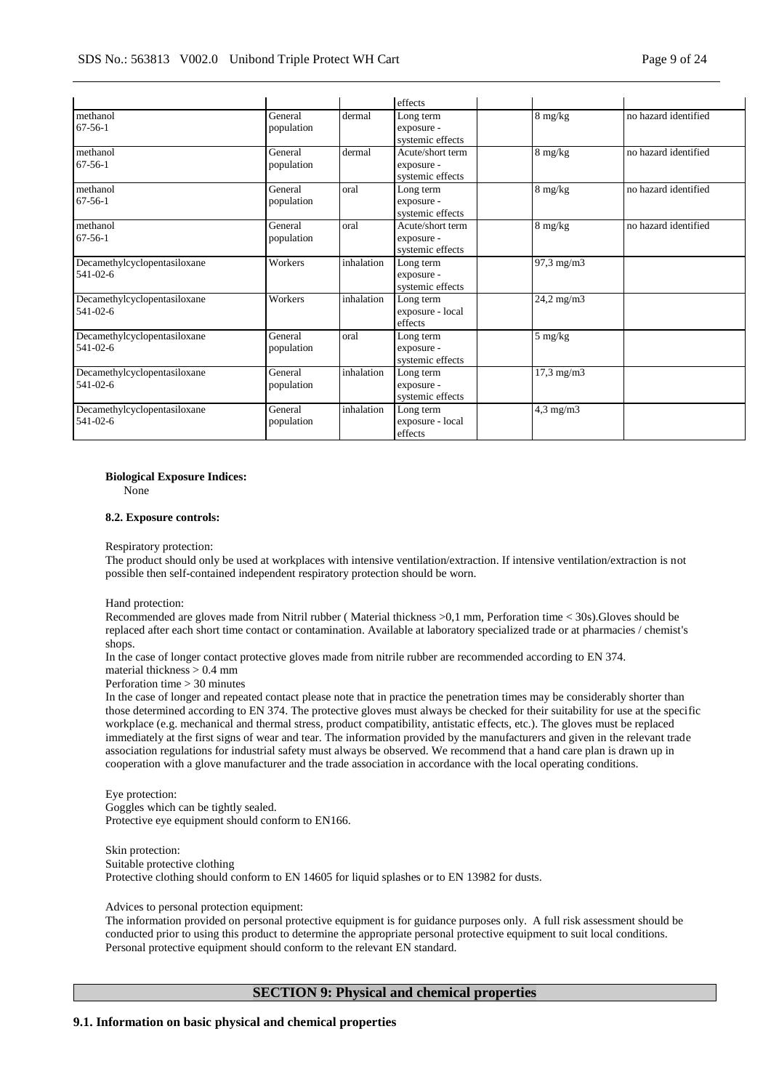|                                                |                       |            | effects                                            |                     |                      |
|------------------------------------------------|-----------------------|------------|----------------------------------------------------|---------------------|----------------------|
| methanol<br>$67-56-1$                          | General<br>population | dermal     | Long term<br>exposure -<br>systemic effects        | $8 \text{ mg/kg}$   | no hazard identified |
| methanol<br>$67 - 56 - 1$                      | General<br>population | dermal     | Acute/short term<br>exposure -<br>systemic effects | $8 \text{ mg/kg}$   | no hazard identified |
| methanol<br>$67 - 56 - 1$                      | General<br>population | oral       | Long term<br>exposure -<br>systemic effects        | 8 mg/kg             | no hazard identified |
| methanol<br>$67 - 56 - 1$                      | General<br>population | oral       | Acute/short term<br>exposure -<br>systemic effects | 8 mg/kg             | no hazard identified |
| Decamethylcyclopentasiloxane<br>$541 - 02 - 6$ | Workers               | inhalation | Long term<br>exposure -<br>systemic effects        | $97,3$ mg/m $3$     |                      |
| Decamethylcyclopentasiloxane<br>$541 - 02 - 6$ | Workers               | inhalation | Long term<br>exposure - local<br>effects           | 24,2 mg/m3          |                      |
| Decamethylcyclopentasiloxane<br>$541 - 02 - 6$ | General<br>population | oral       | Long term<br>exposure -<br>systemic effects        | 5 mg/kg             |                      |
| Decamethylcyclopentasiloxane<br>$541 - 02 - 6$ | General<br>population | inhalation | Long term<br>exposure -<br>systemic effects        | $17,3 \text{ mg/m}$ |                      |
| Decamethylcyclopentasiloxane<br>541-02-6       | General<br>population | inhalation | Long term<br>exposure - local<br>effects           | $4,3$ mg/m $3$      |                      |

# **Biological Exposure Indices:**

None

#### **8.2. Exposure controls:**

Respiratory protection:

The product should only be used at workplaces with intensive ventilation/extraction. If intensive ventilation/extraction is not possible then self-contained independent respiratory protection should be worn.

Hand protection:

Recommended are gloves made from Nitril rubber ( Material thickness >0,1 mm, Perforation time < 30s).Gloves should be replaced after each short time contact or contamination. Available at laboratory specialized trade or at pharmacies / chemist's shops.

In the case of longer contact protective gloves made from nitrile rubber are recommended according to EN 374.

material thickness > 0.4 mm

Perforation time > 30 minutes

In the case of longer and repeated contact please note that in practice the penetration times may be considerably shorter than those determined according to EN 374. The protective gloves must always be checked for their suitability for use at the specific workplace (e.g. mechanical and thermal stress, product compatibility, antistatic effects, etc.). The gloves must be replaced immediately at the first signs of wear and tear. The information provided by the manufacturers and given in the relevant trade association regulations for industrial safety must always be observed. We recommend that a hand care plan is drawn up in cooperation with a glove manufacturer and the trade association in accordance with the local operating conditions.

#### Eye protection:

Goggles which can be tightly sealed. Protective eye equipment should conform to EN166.

Skin protection: Suitable protective clothing Protective clothing should conform to EN 14605 for liquid splashes or to EN 13982 for dusts.

#### Advices to personal protection equipment:

The information provided on personal protective equipment is for guidance purposes only. A full risk assessment should be conducted prior to using this product to determine the appropriate personal protective equipment to suit local conditions. Personal protective equipment should conform to the relevant EN standard.

# **SECTION 9: Physical and chemical properties**

#### **9.1. Information on basic physical and chemical properties**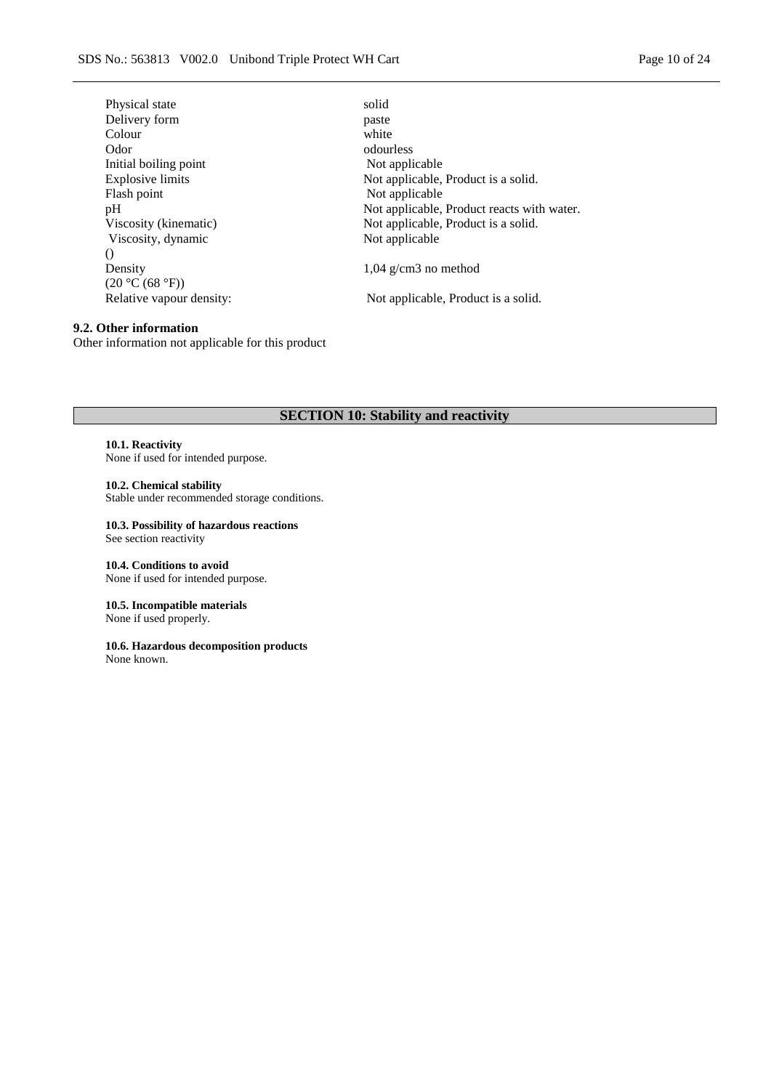| Physical state           | solid                                      |
|--------------------------|--------------------------------------------|
| Delivery form            | paste                                      |
| Colour                   | white                                      |
| Odor                     | odourless                                  |
| Initial boiling point    | Not applicable                             |
| <b>Explosive limits</b>  | Not applicable, Product is a solid.        |
| Flash point              | Not applicable                             |
| pH                       | Not applicable, Product reacts with water. |
| Viscosity (kinematic)    | Not applicable, Product is a solid.        |
| Viscosity, dynamic       | Not applicable                             |
| $\left( \right)$         |                                            |
| Density                  | $1,04$ g/cm3 no method                     |
| (20 °C (68 °F))          |                                            |
| Relative vapour density: | Not applicable, Product is a solid.        |
|                          |                                            |

# **9.2. Other information** Other information not applicable for this product

# **SECTION 10: Stability and reactivity**

#### **10.1. Reactivity**

None if used for intended purpose.

#### **10.2. Chemical stability**

Stable under recommended storage conditions.

#### **10.3. Possibility of hazardous reactions**

See section reactivity

**10.4. Conditions to avoid** None if used for intended purpose.

#### **10.5. Incompatible materials**

None if used properly.

#### **10.6. Hazardous decomposition products**

None known.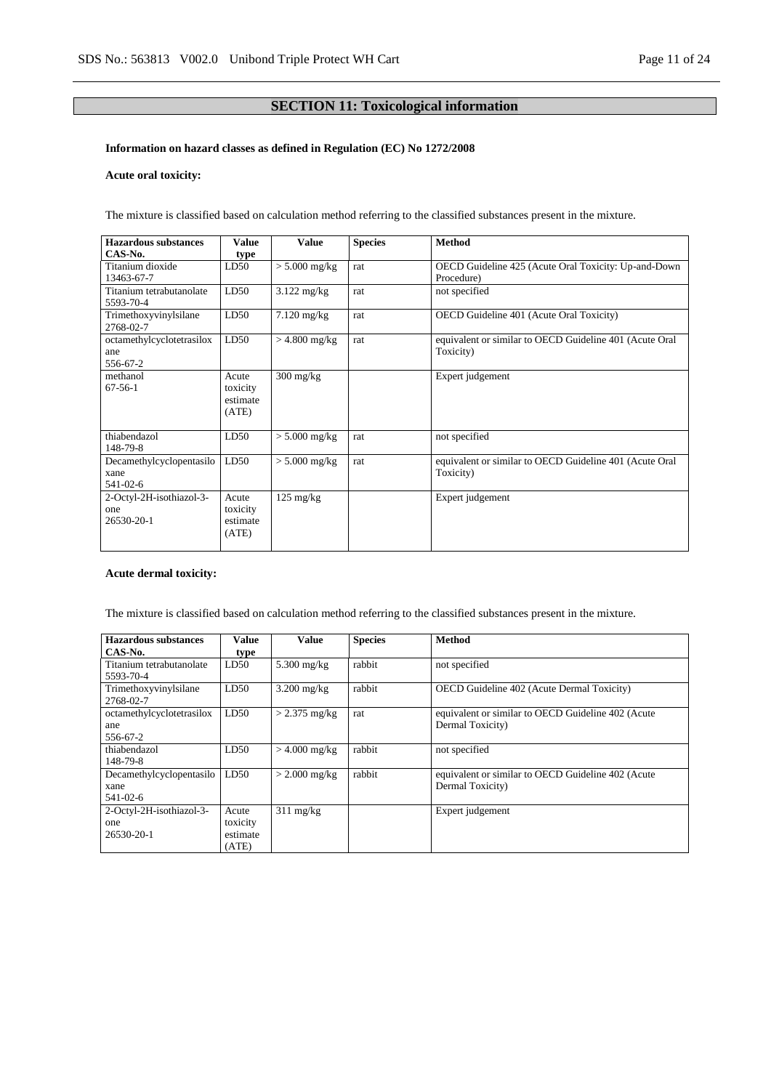# **SECTION 11: Toxicological information**

# **Information on hazard classes as defined in Regulation (EC) No 1272/2008**

# **Acute oral toxicity:**

The mixture is classified based on calculation method referring to the classified substances present in the mixture.

| <b>Hazardous substances</b> | Value    | <b>Value</b>          | <b>Species</b> | <b>Method</b>                                           |
|-----------------------------|----------|-----------------------|----------------|---------------------------------------------------------|
| CAS-No.                     | type     |                       |                |                                                         |
| Titanium dioxide            | LD50     | $> 5.000$ mg/kg       | rat            | OECD Guideline 425 (Acute Oral Toxicity: Up-and-Down    |
| 13463-67-7                  |          |                       |                | Procedure)                                              |
| Titanium tetrabutanolate    | LD50     | $3.122$ mg/kg         | rat            | not specified                                           |
| 5593-70-4                   |          |                       |                |                                                         |
| Trimethoxyvinylsilane       | LD50     | $7.120 \text{ mg/kg}$ | rat            | OECD Guideline 401 (Acute Oral Toxicity)                |
| 2768-02-7                   |          |                       |                |                                                         |
| octamethylcyclotetrasilox   | LD50     | $>$ 4.800 mg/kg       | rat            | equivalent or similar to OECD Guideline 401 (Acute Oral |
| ane                         |          |                       |                | Toxicity)                                               |
| 556-67-2                    |          |                       |                |                                                         |
| methanol                    | Acute    | $300 \text{ mg/kg}$   |                | Expert judgement                                        |
| $67-56-1$                   | toxicity |                       |                |                                                         |
|                             | estimate |                       |                |                                                         |
|                             | (ATE)    |                       |                |                                                         |
|                             |          |                       |                |                                                         |
| thiabendazol                | LD50     | $> 5.000$ mg/kg       | rat            | not specified                                           |
| 148-79-8                    |          |                       |                |                                                         |
| Decamethylcyclopentasilo    | LD50     | $> 5.000$ mg/kg       | rat            | equivalent or similar to OECD Guideline 401 (Acute Oral |
| xane                        |          |                       |                | Toxicity)                                               |
| 541-02-6                    |          |                       |                |                                                         |
| 2-Octyl-2H-isothiazol-3-    | Acute    | $125 \text{ mg/kg}$   |                | Expert judgement                                        |
| one                         | toxicity |                       |                |                                                         |
| 26530-20-1                  | estimate |                       |                |                                                         |
|                             | (ATE)    |                       |                |                                                         |
|                             |          |                       |                |                                                         |

#### **Acute dermal toxicity:**

The mixture is classified based on calculation method referring to the classified substances present in the mixture.

| <b>Hazardous substances</b> | Value    | Value               | <b>Species</b> | <b>Method</b>                                      |
|-----------------------------|----------|---------------------|----------------|----------------------------------------------------|
| CAS-No.                     | type     |                     |                |                                                    |
| Titanium tetrabutanolate    | LD50     | $5.300$ mg/kg       | rabbit         | not specified                                      |
| 5593-70-4                   |          |                     |                |                                                    |
| Trimethoxyvinylsilane       | LD50     | $3.200$ mg/kg       | rabbit         | <b>OECD</b> Guideline 402 (Acute Dermal Toxicity)  |
| 2768-02-7                   |          |                     |                |                                                    |
| octamethylcyclotetrasilox   | LD50     | $> 2.375$ mg/kg     | rat            | equivalent or similar to OECD Guideline 402 (Acute |
| ane                         |          |                     |                | Dermal Toxicity)                                   |
| 556-67-2                    |          |                     |                |                                                    |
| thiabendazol                | LD50     | $>$ 4.000 mg/kg     | rabbit         | not specified                                      |
| 148-79-8                    |          |                     |                |                                                    |
| Decamethylcyclopentasilo    | LD50     | $>$ 2.000 mg/kg     | rabbit         | equivalent or similar to OECD Guideline 402 (Acute |
| xane                        |          |                     |                | Dermal Toxicity)                                   |
| 541-02-6                    |          |                     |                |                                                    |
| 2-Octyl-2H-isothiazol-3-    | Acute    | $311 \text{ mg/kg}$ |                | Expert judgement                                   |
| one                         | toxicity |                     |                |                                                    |
| 26530-20-1                  | estimate |                     |                |                                                    |
|                             | (ATE)    |                     |                |                                                    |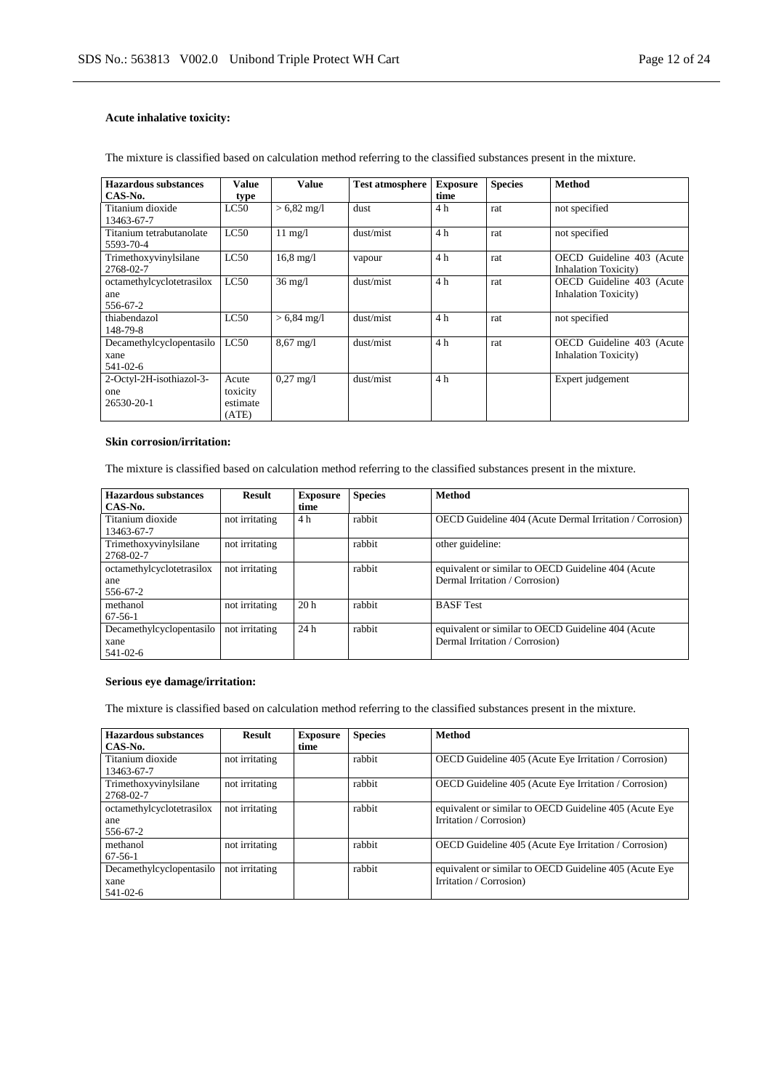# **Acute inhalative toxicity:**

| <b>Hazardous substances</b> | Value    | Value                 | <b>Test atmosphere</b> | <b>Exposure</b> | <b>Species</b> | <b>Method</b>                |
|-----------------------------|----------|-----------------------|------------------------|-----------------|----------------|------------------------------|
| CAS-No.                     | type     |                       |                        | time            |                |                              |
| Titanium dioxide            | LC50     | $> 6.82$ mg/l         | dust                   | 4 h             | rat            | not specified                |
| 13463-67-7                  |          |                       |                        |                 |                |                              |
| Titanium tetrabutanolate    | LC50     | $11 \text{ mg}/1$     | dust/mist              | 4 h             | rat            | not specified                |
| 5593-70-4                   |          |                       |                        |                 |                |                              |
| Trimethoxyvinylsilane       | LC50     | $16.8 \text{ mg}/1$   | vapour                 | 4h              | rat            | OECD Guideline 403 (Acute    |
| 2768-02-7                   |          |                       |                        |                 |                | <b>Inhalation Toxicity</b> ) |
| octamethylcyclotetrasilox   | LC50     | $36 \text{ mg}/l$     | dust/mist              | 4h              | rat            | OECD Guideline 403 (Acute    |
| ane                         |          |                       |                        |                 |                | <b>Inhalation Toxicity</b> ) |
| 556-67-2                    |          |                       |                        |                 |                |                              |
| thiabendazol                | LC50     | $> 6,84 \text{ mg}/1$ | dust/mist              | 4 h             | rat            | not specified                |
| 148-79-8                    |          |                       |                        |                 |                |                              |
| Decamethylcyclopentasilo    | LC50     | $8,67 \text{ mg}/1$   | dust/mist              | 4 h             | rat            | OECD Guideline 403 (Acute    |
| xane                        |          |                       |                        |                 |                | <b>Inhalation Toxicity</b> ) |
| 541-02-6                    |          |                       |                        |                 |                |                              |
| 2-Octyl-2H-isothiazol-3-    | Acute    | $0.27 \text{ mg}/1$   | dust/mist              | 4 h             |                | Expert judgement             |
| one                         | toxicity |                       |                        |                 |                |                              |
| 26530-20-1                  | estimate |                       |                        |                 |                |                              |
|                             | (ATE)    |                       |                        |                 |                |                              |

The mixture is classified based on calculation method referring to the classified substances present in the mixture.

#### **Skin corrosion/irritation:**

The mixture is classified based on calculation method referring to the classified substances present in the mixture.

| Hazardous substances<br>CAS-No.                    | <b>Result</b>  | <b>Exposure</b><br>time | <b>Species</b> | <b>Method</b>                                                                        |
|----------------------------------------------------|----------------|-------------------------|----------------|--------------------------------------------------------------------------------------|
| Titanium dioxide<br>13463-67-7                     | not irritating | 4 h                     | rabbit         | OECD Guideline 404 (Acute Dermal Irritation / Corrosion)                             |
| Trimethoxyvinylsilane<br>2768-02-7                 | not irritating |                         | rabbit         | other guideline:                                                                     |
| octamethylcyclotetrasilox<br>ane<br>556-67-2       | not irritating |                         | rabbit         | equivalent or similar to OECD Guideline 404 (Acute<br>Dermal Irritation / Corrosion) |
| methanol<br>$67 - 56 - 1$                          | not irritating | 20 <sub>h</sub>         | rabbit         | <b>BASF</b> Test                                                                     |
| Decamethylcyclopentasilo<br>xane<br>$541 - 02 - 6$ | not irritating | 24h                     | rabbit         | equivalent or similar to OECD Guideline 404 (Acute<br>Dermal Irritation / Corrosion) |

#### **Serious eye damage/irritation:**

The mixture is classified based on calculation method referring to the classified substances present in the mixture.

| Hazardous substances               | <b>Result</b>  | <b>Exposure</b> | <b>Species</b> | <b>Method</b>                                          |
|------------------------------------|----------------|-----------------|----------------|--------------------------------------------------------|
| CAS-No.                            |                | time            |                |                                                        |
| Titanium dioxide<br>13463-67-7     | not irritating |                 | rabbit         | OECD Guideline 405 (Acute Eye Irritation / Corrosion)  |
| Trimethoxyvinylsilane<br>2768-02-7 | not irritating |                 | rabbit         | OECD Guideline 405 (Acute Eye Irritation / Corrosion)  |
| octamethylcyclotetrasilox          | not irritating |                 | rabbit         | equivalent or similar to OECD Guideline 405 (Acute Eye |
| ane                                |                |                 |                | Irritation / Corrosion)                                |
| 556-67-2                           |                |                 |                |                                                        |
| methanol                           | not irritating |                 | rabbit         | OECD Guideline 405 (Acute Eye Irritation / Corrosion)  |
| $67-56-1$                          |                |                 |                |                                                        |
| Decamethylcyclopentasilo           | not irritating |                 | rabbit         | equivalent or similar to OECD Guideline 405 (Acute Eye |
| xane                               |                |                 |                | Irritation / Corrosion)                                |
| 541-02-6                           |                |                 |                |                                                        |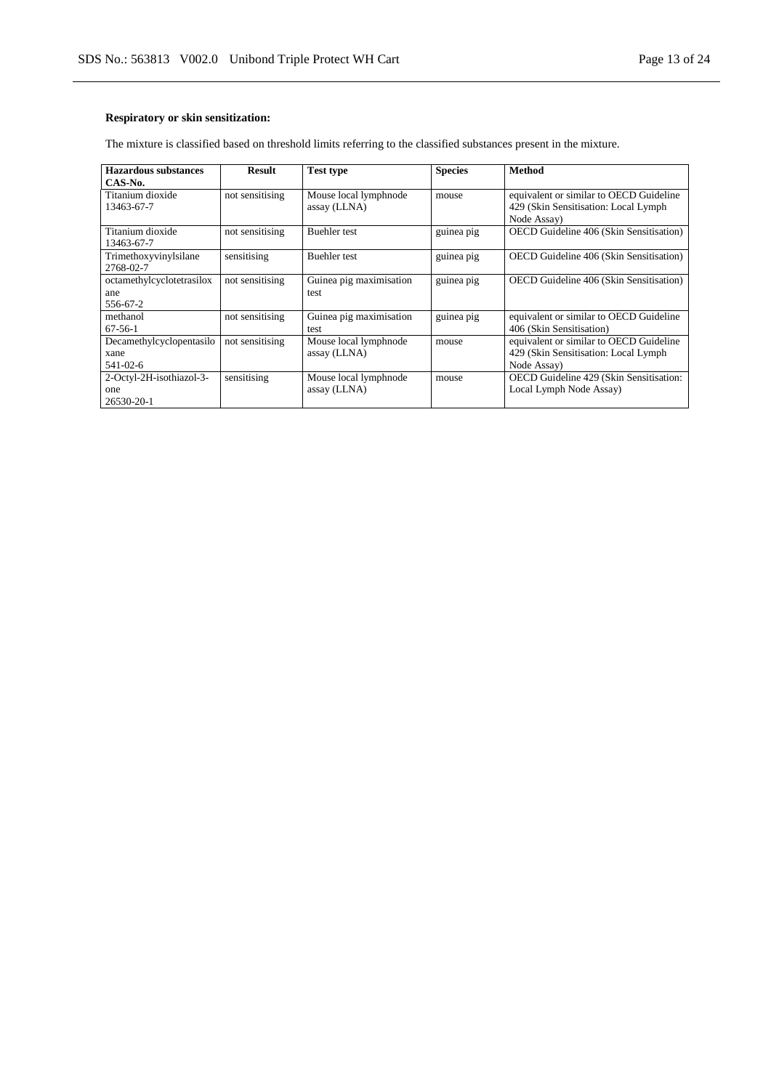# **Respiratory or skin sensitization:**

The mixture is classified based on threshold limits referring to the classified substances present in the mixture.

| Hazardous substances      | <b>Result</b>   | <b>Test type</b>        | <b>Species</b> | Method                                         |
|---------------------------|-----------------|-------------------------|----------------|------------------------------------------------|
| CAS-No.                   |                 |                         |                |                                                |
| Titanium dioxide          | not sensitising | Mouse local lymphnode   | mouse          | equivalent or similar to OECD Guideline        |
| 13463-67-7                |                 | assay (LLNA)            |                | 429 (Skin Sensitisation: Local Lymph           |
|                           |                 |                         |                | Node Assay)                                    |
| Titanium dioxide          | not sensitising | <b>Buehler</b> test     | guinea pig     | <b>OECD</b> Guideline 406 (Skin Sensitisation) |
| 13463-67-7                |                 |                         |                |                                                |
| Trimethoxyvinylsilane     | sensitising     | <b>Buehler</b> test     | guinea pig     | OECD Guideline 406 (Skin Sensitisation)        |
| 2768-02-7                 |                 |                         |                |                                                |
| octamethylcyclotetrasilox | not sensitising | Guinea pig maximisation | guinea pig     | OECD Guideline 406 (Skin Sensitisation)        |
| ane                       |                 | test                    |                |                                                |
| 556-67-2                  |                 |                         |                |                                                |
| methanol                  | not sensitising | Guinea pig maximisation | guinea pig     | equivalent or similar to OECD Guideline        |
| $67-56-1$                 |                 | test                    |                | 406 (Skin Sensitisation)                       |
| Decamethylcyclopentasilo  | not sensitising | Mouse local lymphnode   | mouse          | equivalent or similar to OECD Guideline        |
| xane                      |                 | assay (LLNA)            |                | 429 (Skin Sensitisation: Local Lymph           |
| $541 - 02 - 6$            |                 |                         |                | Node Assay)                                    |
| 2-Octyl-2H-isothiazol-3-  | sensitising     | Mouse local lymphnode   | mouse          | OECD Guideline 429 (Skin Sensitisation:        |
| one                       |                 | assay (LLNA)            |                | Local Lymph Node Assay)                        |
| 26530-20-1                |                 |                         |                |                                                |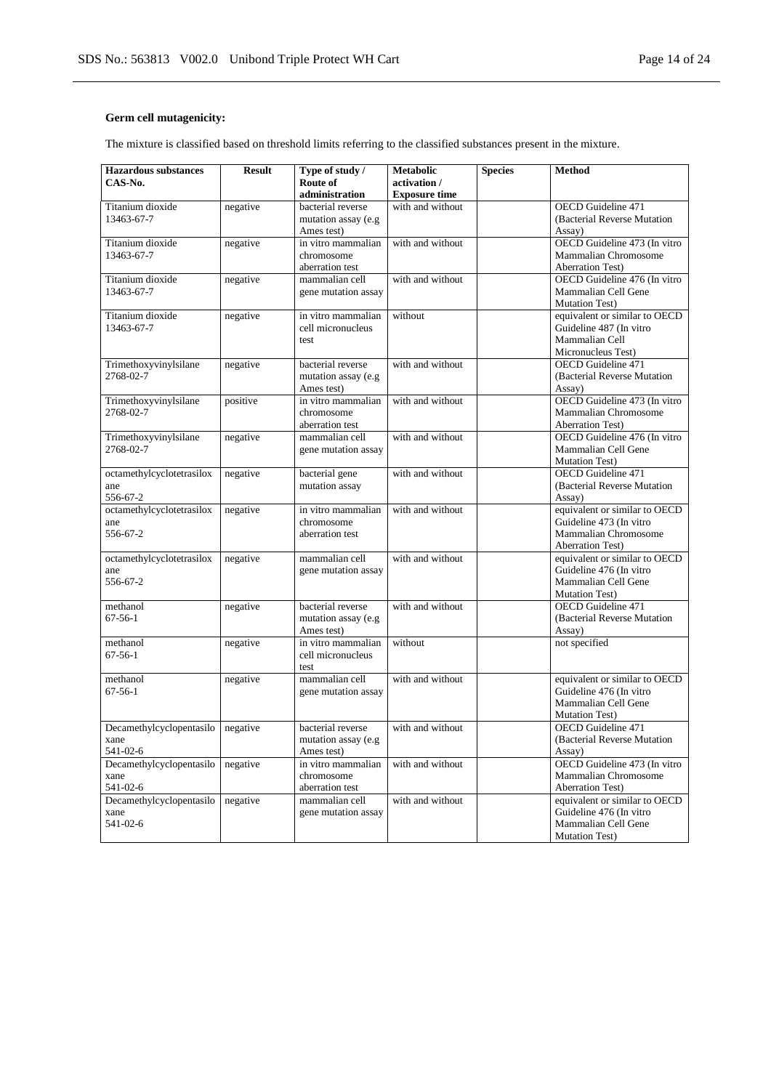# **Germ cell mutagenicity:**

The mixture is classified based on threshold limits referring to the classified substances present in the mixture.

| <b>Hazardous</b> substances | <b>Result</b> | Type of study /      | <b>Metabolic</b>     | <b>Species</b> | <b>Method</b>                 |
|-----------------------------|---------------|----------------------|----------------------|----------------|-------------------------------|
| CAS-No.                     |               | Route of             | activation /         |                |                               |
|                             |               | administration       | <b>Exposure time</b> |                |                               |
| Titanium dioxide            | negative      | bacterial reverse    | with and without     |                | OECD Guideline 471            |
| 13463-67-7                  |               | mutation assay (e.g  |                      |                | (Bacterial Reverse Mutation   |
|                             |               | Ames test)           |                      |                | Assay)                        |
| Titanium dioxide            | negative      | in vitro mammalian   | with and without     |                | OECD Guideline 473 (In vitro  |
| 13463-67-7                  |               | chromosome           |                      |                | Mammalian Chromosome          |
|                             |               | aberration test      |                      |                | Aberration Test)              |
| Titanium dioxide            | negative      | mammalian cell       | with and without     |                | OECD Guideline 476 (In vitro  |
| 13463-67-7                  |               | gene mutation assay  |                      |                | Mammalian Cell Gene           |
|                             |               |                      |                      |                | <b>Mutation Test</b> )        |
| Titanium dioxide            | negative      | in vitro mammalian   | without              |                | equivalent or similar to OECD |
| 13463-67-7                  |               | cell micronucleus    |                      |                | Guideline 487 (In vitro       |
|                             |               | test                 |                      |                | Mammalian Cell                |
|                             |               |                      |                      |                | Micronucleus Test)            |
| Trimethoxyvinylsilane       | negative      | bacterial reverse    | with and without     |                | OECD Guideline 471            |
| 2768-02-7                   |               | mutation assay (e.g  |                      |                | (Bacterial Reverse Mutation)  |
|                             |               | Ames test)           |                      |                | Assay)                        |
| Trimethoxyvinylsilane       | positive      | in vitro mammalian   | with and without     |                | OECD Guideline 473 (In vitro  |
| 2768-02-7                   |               | chromosome           |                      |                | Mammalian Chromosome          |
|                             |               | aberration test      |                      |                | <b>Aberration Test</b> )      |
| Trimethoxyvinylsilane       | negative      | mammalian cell       | with and without     |                | OECD Guideline 476 (In vitro  |
| 2768-02-7                   |               | gene mutation assay  |                      |                | Mammalian Cell Gene           |
|                             |               |                      |                      |                | <b>Mutation Test)</b>         |
| octamethylcyclotetrasilox   | negative      | bacterial gene       | with and without     |                | <b>OECD</b> Guideline 471     |
| ane                         |               | mutation assay       |                      |                | (Bacterial Reverse Mutation   |
| 556-67-2                    |               |                      |                      |                | Assay)                        |
| octamethylcyclotetrasilox   | negative      | in vitro mammalian   | with and without     |                | equivalent or similar to OECD |
| ane                         |               | chromosome           |                      |                | Guideline 473 (In vitro       |
| 556-67-2                    |               | aberration test      |                      |                | Mammalian Chromosome          |
|                             |               |                      |                      |                | Aberration Test)              |
| octamethylcyclotetrasilox   | negative      | mammalian cell       | with and without     |                | equivalent or similar to OECD |
| ane                         |               | gene mutation assay  |                      |                | Guideline 476 (In vitro       |
| 556-67-2                    |               |                      |                      |                | Mammalian Cell Gene           |
|                             |               |                      |                      |                | <b>Mutation Test)</b>         |
| methanol                    | negative      | bacterial reverse    | with and without     |                | <b>OECD</b> Guideline 471     |
| $67 - 56 - 1$               |               | mutation assay (e.g  |                      |                | (Bacterial Reverse Mutation   |
|                             |               | Ames test)           |                      |                | Assay)                        |
| methanol                    | negative      | in vitro mammalian   | without              |                | not specified                 |
| $67 - 56 - 1$               |               | cell micronucleus    |                      |                |                               |
|                             |               | test                 |                      |                |                               |
| methanol                    | negative      | mammalian cell       | with and without     |                | equivalent or similar to OECD |
| $67 - 56 - 1$               |               | gene mutation assay  |                      |                | Guideline 476 (In vitro       |
|                             |               |                      |                      |                | Mammalian Cell Gene           |
|                             |               |                      |                      |                | <b>Mutation Test)</b>         |
| Decamethylcyclopentasilo    | negative      | bacterial reverse    | with and without     |                | <b>OECD</b> Guideline 471     |
| xane                        |               | mutation assay (e.g. |                      |                | (Bacterial Reverse Mutation   |
| 541-02-6                    |               | Ames test)           |                      |                | Assay)                        |
| Decamethylcyclopentasilo    | negative      | in vitro mammalian   | with and without     |                | OECD Guideline 473 (In vitro  |
| xane                        |               | chromosome           |                      |                | Mammalian Chromosome          |
| 541-02-6                    |               | aberration test      |                      |                | <b>Aberration Test)</b>       |
| Decamethylcyclopentasilo    | negative      | mammalian cell       | with and without     |                | equivalent or similar to OECD |
| xane                        |               | gene mutation assay  |                      |                | Guideline 476 (In vitro       |
| 541-02-6                    |               |                      |                      |                | Mammalian Cell Gene           |
|                             |               |                      |                      |                | <b>Mutation Test</b> )        |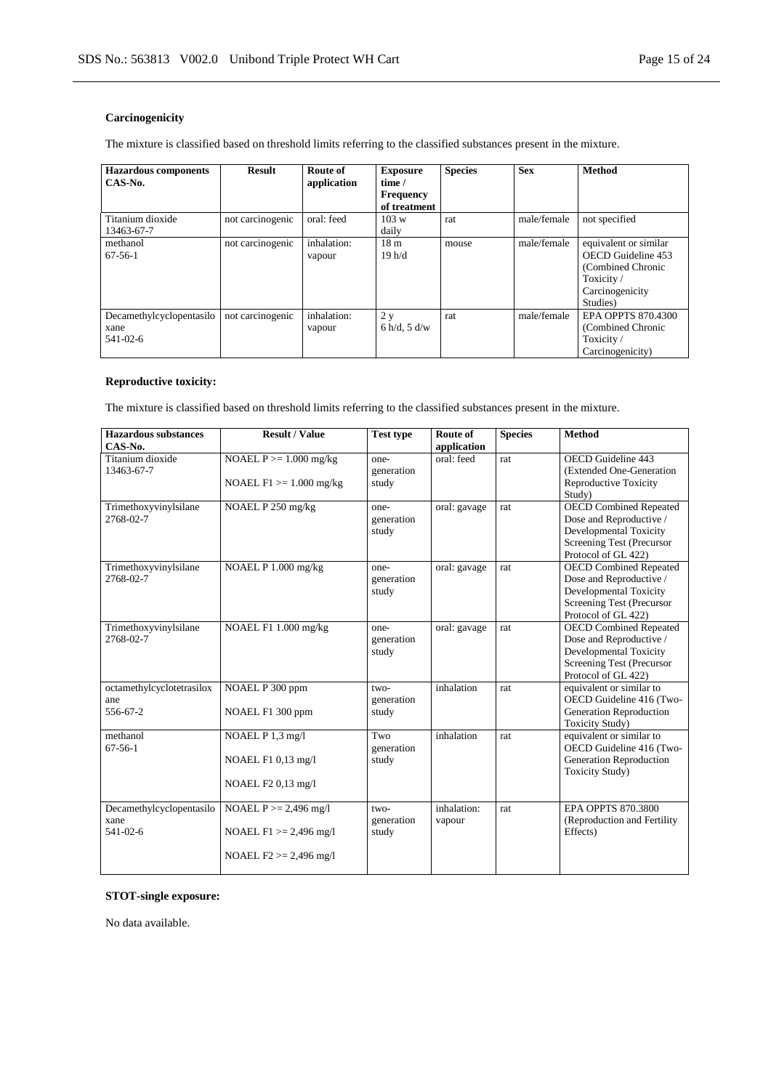# **Carcinogenicity**

The mixture is classified based on threshold limits referring to the classified substances present in the mixture.

| <b>Hazardous components</b><br>CAS-No.       | <b>Result</b>    | Route of<br>application | <b>Exposure</b><br>time /<br><b>Frequency</b><br>of treatment | <b>Species</b> | <b>Sex</b>  | <b>Method</b>                                                                                                |
|----------------------------------------------|------------------|-------------------------|---------------------------------------------------------------|----------------|-------------|--------------------------------------------------------------------------------------------------------------|
| Titanium dioxide<br>13463-67-7               | not carcinogenic | oral: feed              | 103 w<br>daily                                                | rat            | male/female | not specified                                                                                                |
| methanol<br>$67-56-1$                        | not carcinogenic | inhalation:<br>vapour   | 18 <sub>m</sub><br>19h/d                                      | mouse          | male/female | equivalent or similar<br>OECD Guideline 453<br>(Combined Chronic<br>Toxicity/<br>Carcinogenicity<br>Studies) |
| Decamethylcyclopentasilo<br>xane<br>541-02-6 | not carcinogenic | inhalation:<br>vapour   | 2y<br>6 h/d, 5 d/w                                            | rat            | male/female | <b>EPA OPPTS 870.4300</b><br>(Combined Chronic<br>Toxicity/<br>Carcinogenicity)                              |

# **Reproductive toxicity:**

The mixture is classified based on threshold limits referring to the classified substances present in the mixture.

| <b>Hazardous</b> substances<br>CAS-No.       | <b>Result / Value</b>                                                              | <b>Test type</b>              | Route of<br>application | <b>Species</b> | <b>Method</b>                                                                                                                          |
|----------------------------------------------|------------------------------------------------------------------------------------|-------------------------------|-------------------------|----------------|----------------------------------------------------------------------------------------------------------------------------------------|
| Titanium dioxide<br>13463-67-7               | NOAEL $P \ge 1.000$ mg/kg<br>NOAEL $F1 \ge 1.000$ mg/kg                            | one-<br>generation<br>study   | oral: feed              | rat            | OECD Guideline 443<br>(Extended One-Generation<br><b>Reproductive Toxicity</b><br>Study)                                               |
| Trimethoxyvinylsilane<br>2768-02-7           | NOAEL P 250 mg/kg                                                                  | one-<br>generation<br>study   | oral: gavage            | rat            | <b>OECD Combined Repeated</b><br>Dose and Reproductive /<br>Developmental Toxicity<br>Screening Test (Precursor<br>Protocol of GL 422) |
| Trimethoxyvinylsilane<br>2768-02-7           | NOAEL P 1.000 mg/kg                                                                | one-<br>generation<br>study   | oral: gavage            | rat            | <b>OECD Combined Repeated</b><br>Dose and Reproductive /<br>Developmental Toxicity<br>Screening Test (Precursor<br>Protocol of GL 422) |
| Trimethoxyvinylsilane<br>2768-02-7           | NOAEL F1 1.000 mg/kg                                                               | one-<br>generation<br>study   | oral: gavage            | rat            | <b>OECD Combined Repeated</b><br>Dose and Reproductive /<br>Developmental Toxicity<br>Screening Test (Precursor<br>Protocol of GL 422) |
| octamethylcyclotetrasilox<br>ane<br>556-67-2 | NOAEL P 300 ppm<br>NOAEL F1 300 ppm                                                | $two-$<br>generation<br>study | inhalation              | rat            | equivalent or similar to<br>OECD Guideline 416 (Two-<br>Generation Reproduction<br><b>Toxicity Study</b> )                             |
| methanol<br>$67-56-1$                        | NOAEL P 1,3 mg/l<br>NOAEL F1 0,13 mg/l<br>NOAEL F2 0,13 mg/l                       | Two<br>generation<br>study    | inhalation              | rat            | equivalent or similar to<br>OECD Guideline 416 (Two-<br>Generation Reproduction<br><b>Toxicity Study</b> )                             |
| Decamethylcyclopentasilo<br>xane<br>541-02-6 | NOAEL $P \ge 2,496$ mg/l<br>NOAEL $F1 > = 2,496$ mg/l<br>NOAEL $F2 \ge 2,496$ mg/l | $two-$<br>generation<br>study | inhalation:<br>vapour   | rat            | EPA OPPTS 870.3800<br>(Reproduction and Fertility)<br>Effects)                                                                         |

# **STOT-single exposure:**

No data available.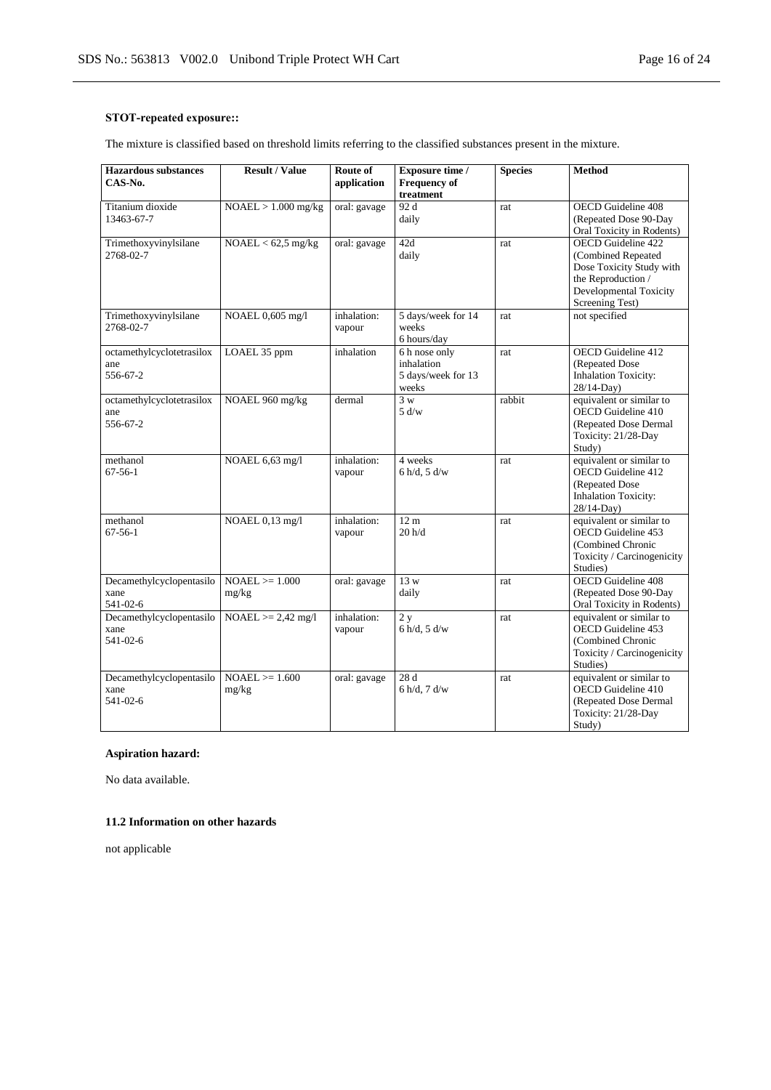# **STOT-repeated exposure::**

The mixture is classified based on threshold limits referring to the classified substances present in the mixture.

| <b>Hazardous</b> substances<br>CAS-No.       | <b>Result / Value</b>       | Route of<br>application | Exposure time /<br><b>Frequency of</b>                     | <b>Species</b> | <b>Method</b>                                                                                                                           |
|----------------------------------------------|-----------------------------|-------------------------|------------------------------------------------------------|----------------|-----------------------------------------------------------------------------------------------------------------------------------------|
|                                              |                             |                         | treatment                                                  |                |                                                                                                                                         |
| Titanium dioxide<br>13463-67-7               | $NOAEL > 1.000$ mg/kg       | oral: gavage            | 92 d<br>daily                                              | rat            | OECD Guideline 408<br>(Repeated Dose 90-Day<br>Oral Toxicity in Rodents)                                                                |
| Trimethoxyvinylsilane<br>2768-02-7           | $NOAEL < 62,5$ mg/kg        | oral: gavage            | 42d<br>daily                                               | rat            | OECD Guideline 422<br>(Combined Repeated<br>Dose Toxicity Study with<br>the Reproduction /<br>Developmental Toxicity<br>Screening Test) |
| Trimethoxyvinylsilane<br>2768-02-7           | NOAEL 0,605 mg/l            | inhalation:<br>vapour   | 5 days/week for 14<br>weeks<br>6 hours/day                 | rat            | not specified                                                                                                                           |
| octamethylcyclotetrasilox<br>ane<br>556-67-2 | LOAEL 35 ppm                | inhalation              | 6 h nose only<br>inhalation<br>5 days/week for 13<br>weeks | rat            | OECD Guideline 412<br>(Repeated Dose)<br><b>Inhalation Toxicity:</b><br>28/14-Day)                                                      |
| octamethylcyclotetrasilox<br>ane<br>556-67-2 | NOAEL 960 mg/kg             | dermal                  | $\overline{3}$ w<br>5 d/w                                  | rabbit         | equivalent or similar to<br>OECD Guideline 410<br>(Repeated Dose Dermal<br>Toxicity: 21/28-Day<br>Study)                                |
| methanol<br>$67 - 56 - 1$                    | NOAEL 6,63 mg/l             | inhalation:<br>vapour   | 4 weeks<br>$6 h/d$ , $5 d/w$                               | rat            | equivalent or similar to<br>OECD Guideline 412<br>(Repeated Dose<br><b>Inhalation Toxicity:</b><br>28/14-Day)                           |
| methanol<br>$67 - 56 - 1$                    | NOAEL 0,13 mg/l             | inhalation:<br>vapour   | 12 <sub>m</sub><br>20 h/d                                  | rat            | equivalent or similar to<br>OECD Guideline 453<br>(Combined Chronic<br>Toxicity / Carcinogenicity<br>Studies)                           |
| Decamethylcyclopentasilo<br>xane<br>541-02-6 | $NOAEL \geq 1.000$<br>mg/kg | oral: gavage            | 13 w<br>daily                                              | rat            | OECD Guideline 408<br>(Repeated Dose 90-Day<br>Oral Toxicity in Rodents)                                                                |
| Decamethylcyclopentasilo<br>xane<br>541-02-6 | $NOAEL \ge 2.42$ mg/l       | inhalation:<br>vapour   | 2y<br>$6 h/d$ , $5 d/w$                                    | rat            | equivalent or similar to<br>OECD Guideline 453<br>(Combined Chronic<br>Toxicity / Carcinogenicity<br>Studies)                           |
| Decamethylcyclopentasilo<br>xane<br>541-02-6 | $NOAEL \ge 1.600$<br>mg/kg  | oral: gavage            | 28 d<br>6 h/d, 7 d/w                                       | rat            | equivalent or similar to<br>OECD Guideline 410<br>(Repeated Dose Dermal<br>Toxicity: 21/28-Day<br>Study)                                |

# **Aspiration hazard:**

No data available.

## **11.2 Information on other hazards**

not applicable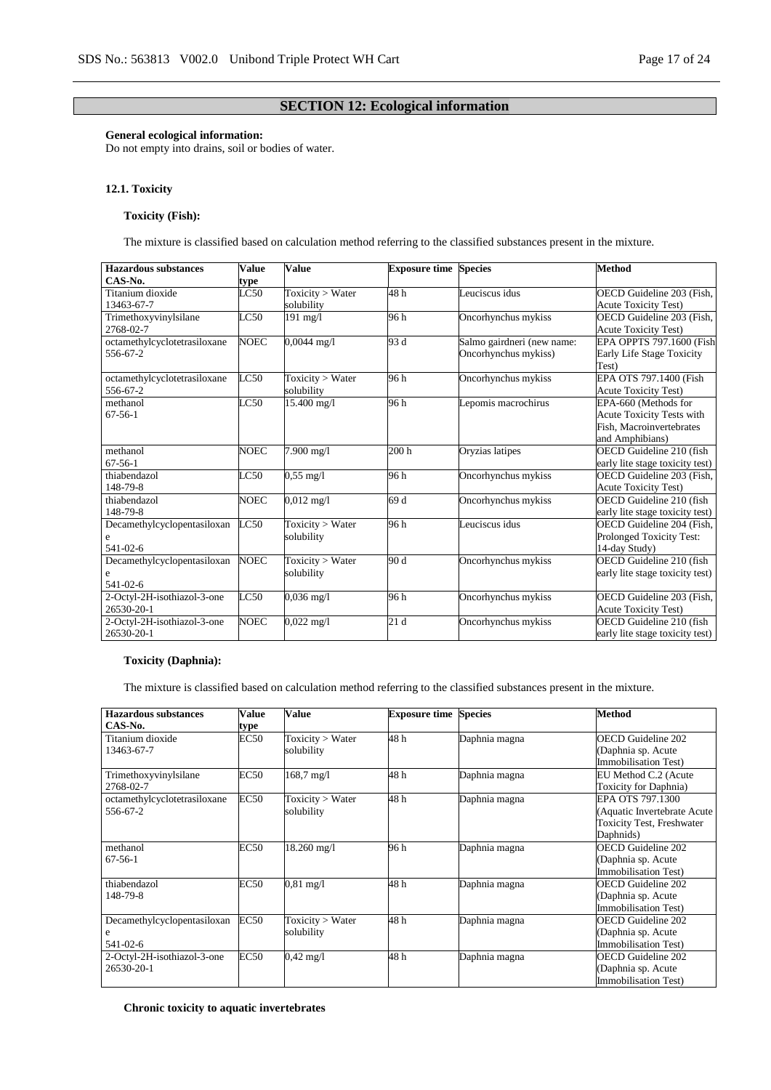# **SECTION 12: Ecological information**

#### **General ecological information:**

Do not empty into drains, soil or bodies of water.

#### **12.1. Toxicity**

#### **Toxicity (Fish):**

The mixture is classified based on calculation method referring to the classified substances present in the mixture.

| <b>Hazardous substances</b>  | Value       | <b>Value</b>         | <b>Exposure time Species</b> |                            | <b>Method</b>                    |
|------------------------------|-------------|----------------------|------------------------------|----------------------------|----------------------------------|
| CAS-No.                      | type        |                      |                              |                            |                                  |
| Titanium dioxide             | LC50        | Toxicity > Water     | 48h                          | Leuciscus idus             | OECD Guideline 203 (Fish,        |
| 13463-67-7                   |             | solubility           |                              |                            | <b>Acute Toxicity Test)</b>      |
| Trimethoxyvinylsilane        | LC50        | 191 mg/l             | 96 h                         | Oncorhynchus mykiss        | OECD Guideline 203 (Fish,        |
| 2768-02-7                    |             |                      |                              |                            | <b>Acute Toxicity Test)</b>      |
| octamethylcyclotetrasiloxane | <b>NOEC</b> | $0.0044$ mg/l        | 93 d                         | Salmo gairdneri (new name: | EPA OPPTS 797.1600 (Fish         |
| 556-67-2                     |             |                      |                              | Oncorhynchus mykiss)       | Early Life Stage Toxicity        |
|                              |             |                      |                              |                            | Test)                            |
| octamethylcyclotetrasiloxane | LC50        | Toxicity > Water     | 96 h                         | Oncorhynchus mykiss        | EPA OTS 797.1400 (Fish           |
| 556-67-2                     |             | solubility           |                              |                            | <b>Acute Toxicity Test)</b>      |
| methanol                     | LC50        | 15.400 mg/l          | 96 h                         | Lepomis macrochirus        | EPA-660 (Methods for             |
| $67 - 56 - 1$                |             |                      |                              |                            | <b>Acute Toxicity Tests with</b> |
|                              |             |                      |                              |                            | Fish, Macroinvertebrates         |
|                              |             |                      |                              |                            | and Amphibians)                  |
| methanol                     | <b>NOEC</b> | 7.900 mg/l           | 200 <sub>h</sub>             | Oryzias latipes            | OECD Guideline 210 (fish         |
| $67 - 56 - 1$                |             |                      |                              |                            | early lite stage toxicity test)  |
| thiabendazol                 | LC50        | $0.55 \text{ mg}/1$  | 96 h                         | Oncorhynchus mykiss        | OECD Guideline 203 (Fish,        |
| 148-79-8                     |             |                      |                              |                            | <b>Acute Toxicity Test)</b>      |
| thiabendazol                 | NOEC        | $0,012 \text{ mg}/1$ | 69 d                         | Oncorhynchus mykiss        | OECD Guideline 210 (fish         |
| 148-79-8                     |             |                      |                              |                            | early lite stage toxicity test)  |
| Decamethylcyclopentasiloxan  | LC50        | Toxicity > Water     | 96 h                         | Leuciscus idus             | OECD Guideline 204 (Fish,        |
| e                            |             | solubility           |                              |                            | Prolonged Toxicity Test:         |
| 541-02-6                     |             |                      |                              |                            | 14-day Study)                    |
| Decamethylcyclopentasiloxan  | <b>NOEC</b> | Toxicity > Water     | 90 d                         | Oncorhynchus mykiss        | OECD Guideline 210 (fish         |
| e                            |             | solubility           |                              |                            | early lite stage toxicity test)  |
| 541-02-6                     |             |                      |                              |                            |                                  |
| 2-Octyl-2H-isothiazol-3-one  | LC50        | $0,036 \text{ mg}/1$ | 96 h                         | Oncorhynchus mykiss        | OECD Guideline 203 (Fish,        |
| 26530-20-1                   |             |                      |                              |                            | <b>Acute Toxicity Test)</b>      |
| 2-Octyl-2H-isothiazol-3-one  | <b>NOEC</b> | $0.022 \text{ mg}/1$ | 21d                          | Oncorhynchus mykiss        | OECD Guideline 210 (fish         |
| 26530-20-1                   |             |                      |                              |                            | early lite stage toxicity test)  |

#### **Toxicity (Daphnia):**

The mixture is classified based on calculation method referring to the classified substances present in the mixture.

| Hazardous substances<br>CAS-No.              | Value<br>type | <b>Value</b>                          | <b>Exposure time</b> | <b>Species</b> | Method                                                                                            |
|----------------------------------------------|---------------|---------------------------------------|----------------------|----------------|---------------------------------------------------------------------------------------------------|
| Titanium dioxide<br>13463-67-7               | EC50          | Toxicity > Water<br>solubility        | 48 h                 | Daphnia magna  | OECD Guideline 202<br>(Daphnia sp. Acute<br>Immobilisation Test)                                  |
| Trimethoxyvinylsilane<br>2768-02-7           | <b>EC50</b>   | $168,7 \text{ mg}/1$                  | 48 h                 | Daphnia magna  | EU Method C.2 (Acute<br>Toxicity for Daphnia)                                                     |
| octamethylcyclotetrasiloxane<br>556-67-2     | EC50          | Toxicity > Water<br>solubility        | 48 h                 | Daphnia magna  | EPA OTS 797.1300<br>(Aquatic Invertebrate Acute)<br><b>Toxicity Test, Freshwater</b><br>Daphnids) |
| methanol<br>$67 - 56 - 1$                    | <b>EC50</b>   | 18.260 mg/l                           | 96 h                 | Daphnia magna  | <b>OECD</b> Guideline 202<br>(Daphnia sp. Acute<br>Immobilisation Test)                           |
| thiabendazol<br>148-79-8                     | <b>EC50</b>   | $0.81 \text{ mg}/1$                   | 48 h                 | Daphnia magna  | OECD Guideline 202<br>(Daphnia sp. Acute<br><b>Immobilisation Test)</b>                           |
| Decamethylcyclopentasiloxan<br>e<br>541-02-6 | EC50          | <b>Toxicity</b> > Water<br>solubility | 48 h                 | Daphnia magna  | <b>OECD</b> Guideline 202<br>(Daphnia sp. Acute<br><b>Immobilisation Test)</b>                    |
| 2-Octyl-2H-isothiazol-3-one<br>26530-20-1    | EC50          | $0,42 \text{ mg}/1$                   | 48 h                 | Daphnia magna  | <b>OECD</b> Guideline 202<br>(Daphnia sp. Acute<br><b>Immobilisation Test)</b>                    |

# **Chronic toxicity to aquatic invertebrates**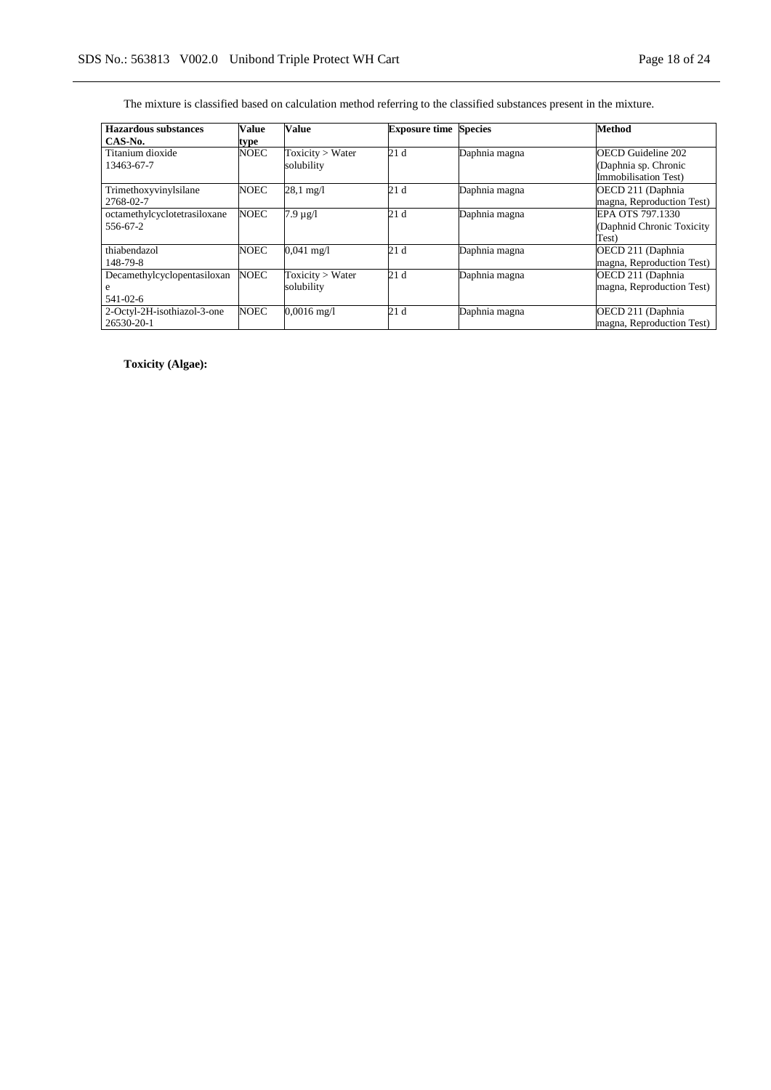The mixture is classified based on calculation method referring to the classified substances present in the mixture.

| Hazardous substances         | Value       | Value                 | <b>Exposure time Species</b> |               | <b>Method</b>               |
|------------------------------|-------------|-----------------------|------------------------------|---------------|-----------------------------|
| CAS-No.                      | type        |                       |                              |               |                             |
| Titanium dioxide             | <b>NOEC</b> | Toxicity > Water      | 21d                          | Daphnia magna | <b>OECD</b> Guideline 202   |
| 13463-67-7                   |             | solubility            |                              |               | (Daphnia sp. Chronic        |
|                              |             |                       |                              |               | <b>Immobilisation Test)</b> |
| Trimethoxyvinylsilane        | <b>NOEC</b> | $28.1 \text{ mg}/1$   | 21d                          | Daphnia magna | OECD 211 (Daphnia           |
| 2768-02-7                    |             |                       |                              |               | magna, Reproduction Test)   |
| octamethylcyclotetrasiloxane | <b>NOEC</b> | $7.9 \mu g/l$         | 21d                          | Daphnia magna | EPA OTS 797.1330            |
| 556-67-2                     |             |                       |                              |               | (Daphnid Chronic Toxicity   |
|                              |             |                       |                              |               | Test)                       |
| thiabendazol                 | <b>NOEC</b> | $0,041 \text{ mg}/1$  | 21d                          | Daphnia magna | OECD 211 (Daphnia           |
| 148-79-8                     |             |                       |                              |               | magna, Reproduction Test)   |
| Decamethylcyclopentasiloxan  | <b>NOEC</b> | Toxicity > Water      | 21d                          | Daphnia magna | OECD 211 (Daphnia           |
| e                            |             | solubility            |                              |               | magna, Reproduction Test)   |
| 541-02-6                     |             |                       |                              |               |                             |
| 2-Octyl-2H-isothiazol-3-one  | <b>NOEC</b> | $0,0016 \text{ mg}/1$ | 21d                          | Daphnia magna | OECD 211 (Daphnia           |
| 26530-20-1                   |             |                       |                              |               | magna, Reproduction Test)   |

**Toxicity (Algae):**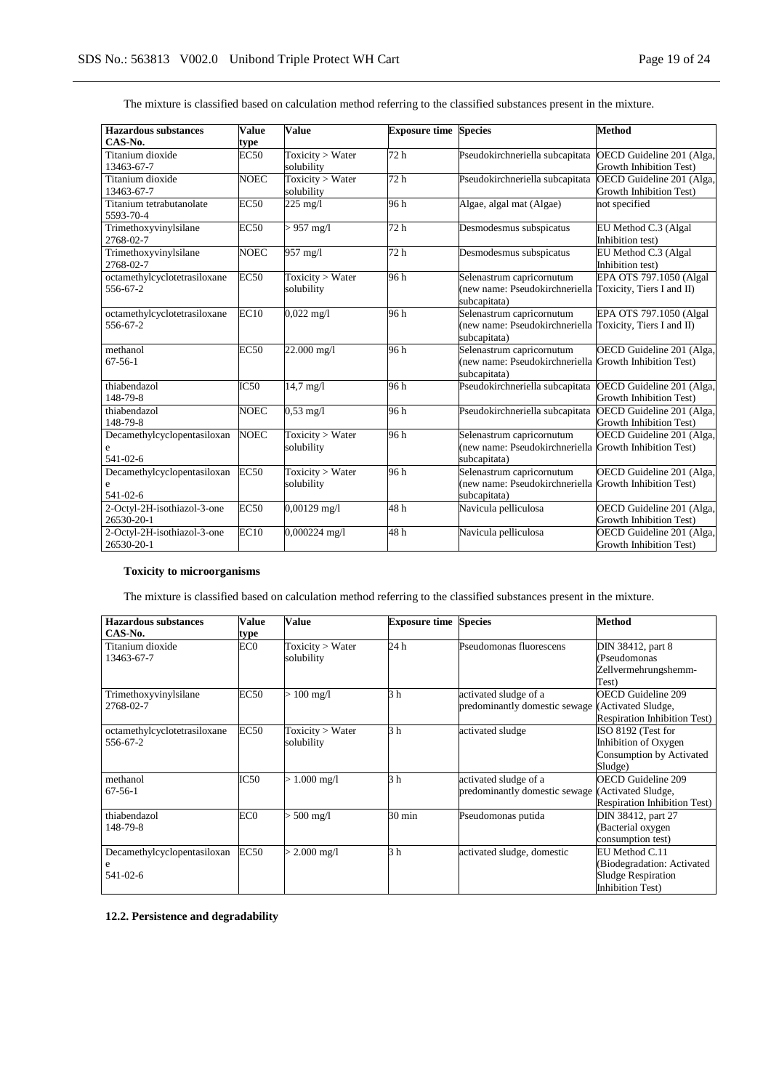| <b>Hazardous substances</b>           | <b>Value</b> | <b>Value</b>          | <b>Exposure time Species</b> |                                                          | <b>Method</b>             |
|---------------------------------------|--------------|-----------------------|------------------------------|----------------------------------------------------------|---------------------------|
| CAS-No.                               | type         |                       |                              |                                                          |                           |
| Titanium dioxide                      | <b>EC50</b>  | Toxicity > Water      | 72 h                         | Pseudokirchneriella subcapitata                          | OECD Guideline 201 (Alga, |
| 13463-67-7                            |              | solubility            |                              |                                                          | Growth Inhibition Test)   |
| Titanium dioxide                      | <b>NOEC</b>  | Toxicity $>$ Water    | 72 h                         | Pseudokirchneriella subcapitata                          | OECD Guideline 201 (Alga, |
| 13463-67-7                            |              | solubility            |                              |                                                          | Growth Inhibition Test)   |
| Titanium tetrabutanolate<br>5593-70-4 | EC50         | $\overline{225}$ mg/l | 96 h                         | Algae, algal mat (Algae)                                 | not specified             |
| Trimethoxyvinylsilane                 | <b>EC50</b>  | $> 957$ mg/l          | 72 h                         | Desmodesmus subspicatus                                  | EU Method C.3 (Algal      |
| 2768-02-7                             |              |                       |                              |                                                          | Inhibition test)          |
| Trimethoxyvinylsilane                 | <b>NOEC</b>  | 957 mg/l              | 72 h                         | Desmodesmus subspicatus                                  | EU Method C.3 (Algal      |
| 2768-02-7                             |              |                       |                              |                                                          | Inhibition test)          |
| octamethylcyclotetrasiloxane          | EC50         | Toxicity > Water      | 96 h                         | Selenastrum capricornutum                                | EPA OTS 797.1050 (Algal   |
| 556-67-2                              |              | solubility            |                              | (new name: Pseudokirchneriella Toxicity, Tiers I and II) |                           |
|                                       |              |                       |                              | subcapitata)                                             |                           |
| octamethylcyclotetrasiloxane          | EC10         | $0,022 \text{ mg}/1$  | 96 h                         | Selenastrum capricornutum                                | EPA OTS 797.1050 (Algal   |
| 556-67-2                              |              |                       |                              | (new name: Pseudokirchneriella                           | Toxicity, Tiers I and II) |
|                                       |              |                       |                              | subcapitata)                                             |                           |
| methanol                              | <b>EC50</b>  | 22.000 mg/l           | 96 h                         | Selenastrum capricornutum                                | OECD Guideline 201 (Alga, |
| $67 - 56 - 1$                         |              |                       |                              | (new name: Pseudokirchneriella Growth Inhibition Test)   |                           |
|                                       |              |                       |                              | subcapitata)                                             |                           |
| thiabendazol                          | IC50         | $14.7 \text{ mg}/1$   | 96 h                         | Pseudokirchneriella subcapitata                          | OECD Guideline 201 (Alga, |
| 148-79-8                              |              |                       |                              |                                                          | Growth Inhibition Test)   |
| thiabendazol                          | <b>NOEC</b>  | $0.53 \text{ mg}/1$   | 96 h                         | Pseudokirchneriella subcapitata                          | OECD Guideline 201 (Alga, |
| 148-79-8                              |              |                       |                              |                                                          | Growth Inhibition Test)   |
| Decamethylcyclopentasiloxan           | <b>NOEC</b>  | Toxicity > Water      | 96 h                         | Selenastrum capricornutum                                | OECD Guideline 201 (Alga, |
| e                                     |              | solubility            |                              | (new name: Pseudokirchneriella Growth Inhibition Test)   |                           |
| 541-02-6                              |              |                       |                              | subcapitata)                                             |                           |
| Decamethylcyclopentasiloxan           | <b>EC50</b>  | Toxicity > Water      | 96 h                         | Selenastrum capricornutum                                | OECD Guideline 201 (Alga, |
| e                                     |              | solubility            |                              | (new name: Pseudokirchneriella                           | Growth Inhibition Test)   |
| 541-02-6                              |              |                       |                              | subcapitata)                                             |                           |
| 2-Octyl-2H-isothiazol-3-one           | EC50         | $0,00129$ mg/l        | 48h                          | Navicula pelliculosa                                     | OECD Guideline 201 (Alga, |
| 26530-20-1                            |              |                       |                              |                                                          | Growth Inhibition Test)   |
| 2-Octyl-2H-isothiazol-3-one           | EC10         | 0,000224 mg/l         | 48 h                         | Navicula pelliculosa                                     | OECD Guideline 201 (Alga, |
| 26530-20-1                            |              |                       |                              |                                                          | Growth Inhibition Test)   |

The mixture is classified based on calculation method referring to the classified substances present in the mixture.

# **Toxicity to microorganisms**

The mixture is classified based on calculation method referring to the classified substances present in the mixture.

| Hazardous substances<br>CAS-No.              | Value<br>type | Value                          | <b>Exposure time Species</b> |                                                        | <b>Method</b>                                                                                        |
|----------------------------------------------|---------------|--------------------------------|------------------------------|--------------------------------------------------------|------------------------------------------------------------------------------------------------------|
| Titanium dioxide<br>13463-67-7               | EC0           | Toxicity > Water<br>solubility | 24 h                         | Pseudomonas fluorescens                                | DIN 38412, part 8<br>(Pseudomonas<br>Zellvermehrungshemm-<br>Test)                                   |
| Trimethoxyvinylsilane<br>2768-02-7           | <b>EC50</b>   | $> 100$ mg/l                   | 3 h                          | activated sludge of a<br>predominantly domestic sewage | <b>OECD Guideline 209</b><br>(Activated Sludge,<br><b>Respiration Inhibition Test)</b>               |
| octamethylcyclotetrasiloxane<br>556-67-2     | <b>EC50</b>   | Toxicity > Water<br>solubility | 3 <sub>h</sub>               | activated sludge                                       | ISO 8192 (Test for<br>Inhibition of Oxygen<br>Consumption by Activated<br>Sludge)                    |
| methanol<br>$67 - 56 - 1$                    | IC50          | $> 1.000$ mg/l                 | 3 <sub>h</sub>               | activated sludge of a<br>predominantly domestic sewage | <b>OECD</b> Guideline 209<br>(Activated Sludge,<br><b>Respiration Inhibition Test)</b>               |
| thiabendazol<br>148-79-8                     | EC0           | $> 500$ mg/l                   | $30 \text{ min}$             | Pseudomonas putida                                     | DIN 38412, part 27<br>(Bacterial oxygen<br>consumption test)                                         |
| Decamethylcyclopentasiloxan<br>e<br>541-02-6 | EC50          | $> 2.000$ mg/l                 | 3 <sub>h</sub>               | activated sludge, domestic                             | EU Method C.11<br>(Biodegradation: Activated<br><b>Sludge Respiration</b><br><b>Inhibition Test)</b> |

**12.2. Persistence and degradability**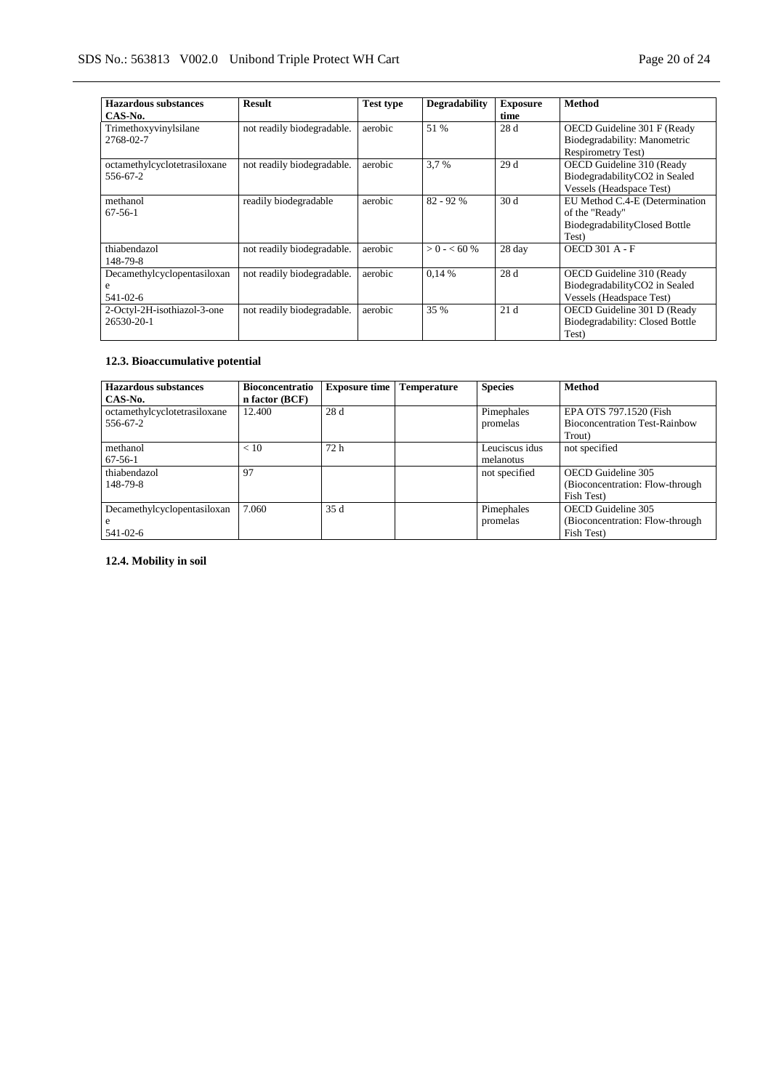| Hazardous substances<br>CAS-No.              | <b>Result</b>              | <b>Test type</b> | <b>Degradability</b> | <b>Exposure</b><br>time | <b>Method</b>                                                                              |
|----------------------------------------------|----------------------------|------------------|----------------------|-------------------------|--------------------------------------------------------------------------------------------|
| Trimethoxyvinylsilane<br>2768-02-7           | not readily biodegradable. | aerobic          | 51 %                 | 28 d                    | OECD Guideline 301 F (Ready<br>Biodegradability: Manometric<br><b>Respirometry Test)</b>   |
| octamethylcyclotetrasiloxane<br>556-67-2     | not readily biodegradable. | aerobic          | 3.7 %                | 29d                     | OECD Guideline 310 (Ready<br>BiodegradabilityCO2 in Sealed<br>Vessels (Headspace Test)     |
| methanol<br>$67 - 56 - 1$                    | readily biodegradable      | aerobic          | $82 - 92%$           | 30d                     | EU Method C.4-E (Determination<br>of the "Ready"<br>BiodegradabilityClosed Bottle<br>Test) |
| thiabendazol<br>148-79-8                     | not readily biodegradable. | aerobic          | $> 0 - < 60$ %       | 28 day                  | <b>OECD 301 A - F</b>                                                                      |
| Decamethylcyclopentasiloxan<br>e<br>541-02-6 | not readily biodegradable. | aerobic          | 0.14%                | 28 d                    | OECD Guideline 310 (Ready<br>BiodegradabilityCO2 in Sealed<br>Vessels (Headspace Test)     |
| 2-Octyl-2H-isothiazol-3-one<br>26530-20-1    | not readily biodegradable. | aerobic          | 35 %                 | 21d                     | OECD Guideline 301 D (Ready<br>Biodegradability: Closed Bottle<br>Test)                    |

# **12.3. Bioaccumulative potential**

| <b>Hazardous</b> substances  | <b>Bioconcentratio</b> | <b>Exposure time</b> | <b>Temperature</b> | <b>Species</b> | <b>Method</b>                        |
|------------------------------|------------------------|----------------------|--------------------|----------------|--------------------------------------|
| CAS-No.                      | n factor (BCF)         |                      |                    |                |                                      |
| octamethylcyclotetrasiloxane | 12.400                 | 28 d                 |                    | Pimephales     | EPA OTS 797.1520 (Fish               |
| 556-67-2                     |                        |                      |                    | promelas       | <b>Bioconcentration Test-Rainbow</b> |
|                              |                        |                      |                    |                | Trout)                               |
| methanol                     | < 10                   | 72 h                 |                    | Leuciscus idus | not specified                        |
| $67-56-1$                    |                        |                      |                    | melanotus      |                                      |
| thiabendazol                 | 97                     |                      |                    | not specified  | OECD Guideline 305                   |
| 148-79-8                     |                        |                      |                    |                | (Bioconcentration: Flow-through      |
|                              |                        |                      |                    |                | Fish Test)                           |
| Decamethylcyclopentasiloxan  | 7.060                  | 35d                  |                    | Pimephales     | OECD Guideline 305                   |
| l e                          |                        |                      |                    | promelas       | (Bioconcentration: Flow-through)     |
| 541-02-6                     |                        |                      |                    |                | Fish Test)                           |

**12.4. Mobility in soil**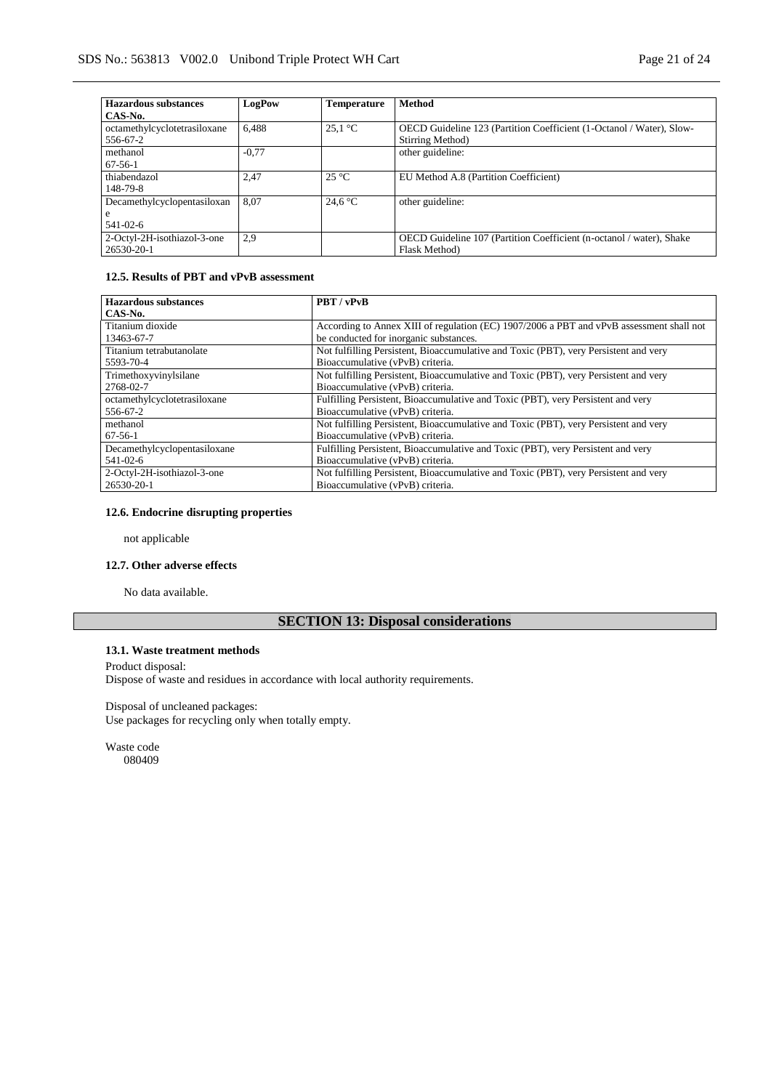| <b>Hazardous substances</b>  | LogPow  | <b>Temperature</b> | <b>Method</b>                                                        |
|------------------------------|---------|--------------------|----------------------------------------------------------------------|
| CAS-No.                      |         |                    |                                                                      |
| octamethylcyclotetrasiloxane | 6.488   | $25.1 \text{ °C}$  | OECD Guideline 123 (Partition Coefficient (1-Octanol / Water), Slow- |
| 556-67-2                     |         |                    | Stirring Method)                                                     |
| methanol                     | $-0.77$ |                    | other guideline:                                                     |
| $67-56-1$                    |         |                    |                                                                      |
| thiabendazol                 | 2,47    | $25^{\circ}$ C     | EU Method A.8 (Partition Coefficient)                                |
| 148-79-8                     |         |                    |                                                                      |
| Decamethylcyclopentasiloxan  | 8.07    | 24.6 $\degree$ C   | other guideline:                                                     |
| e                            |         |                    |                                                                      |
| 541-02-6                     |         |                    |                                                                      |
| 2-Octyl-2H-isothiazol-3-one  | 2,9     |                    | OECD Guideline 107 (Partition Coefficient (n-octanol / water), Shake |
| 26530-20-1                   |         |                    | Flask Method)                                                        |

# **12.5. Results of PBT and vPvB assessment**

| <b>Hazardous substances</b>  | PBT / vPvB                                                                               |
|------------------------------|------------------------------------------------------------------------------------------|
| CAS-No.                      |                                                                                          |
| Titanium dioxide             | According to Annex XIII of regulation (EC) 1907/2006 a PBT and vPvB assessment shall not |
| 13463-67-7                   | be conducted for inorganic substances.                                                   |
| Titanium tetrabutanolate     | Not fulfilling Persistent, Bioaccumulative and Toxic (PBT), very Persistent and very     |
| 5593-70-4                    | Bioaccumulative (vPvB) criteria.                                                         |
| Trimethoxyvinylsilane        | Not fulfilling Persistent, Bioaccumulative and Toxic (PBT), very Persistent and very     |
| 2768-02-7                    | Bioaccumulative (vPvB) criteria.                                                         |
| octamethylcyclotetrasiloxane | Fulfilling Persistent, Bioaccumulative and Toxic (PBT), very Persistent and very         |
| 556-67-2                     | Bioaccumulative (vPvB) criteria.                                                         |
| methanol                     | Not fulfilling Persistent, Bioaccumulative and Toxic (PBT), very Persistent and very     |
| $67-56-1$                    | Bioaccumulative (vPvB) criteria.                                                         |
| Decamethylcyclopentasiloxane | Fulfilling Persistent, Bioaccumulative and Toxic (PBT), very Persistent and very         |
| 541-02-6                     | Bioaccumulative (vPvB) criteria.                                                         |
| 2-Octyl-2H-isothiazol-3-one  | Not fulfilling Persistent, Bioaccumulative and Toxic (PBT), very Persistent and very     |
| 26530-20-1                   | Bioaccumulative (vPvB) criteria.                                                         |

#### **12.6. Endocrine disrupting properties**

not applicable

#### **12.7. Other adverse effects**

No data available.

# **SECTION 13: Disposal considerations**

## **13.1. Waste treatment methods**

Product disposal: Dispose of waste and residues in accordance with local authority requirements.

Disposal of uncleaned packages: Use packages for recycling only when totally empty.

Waste code 080409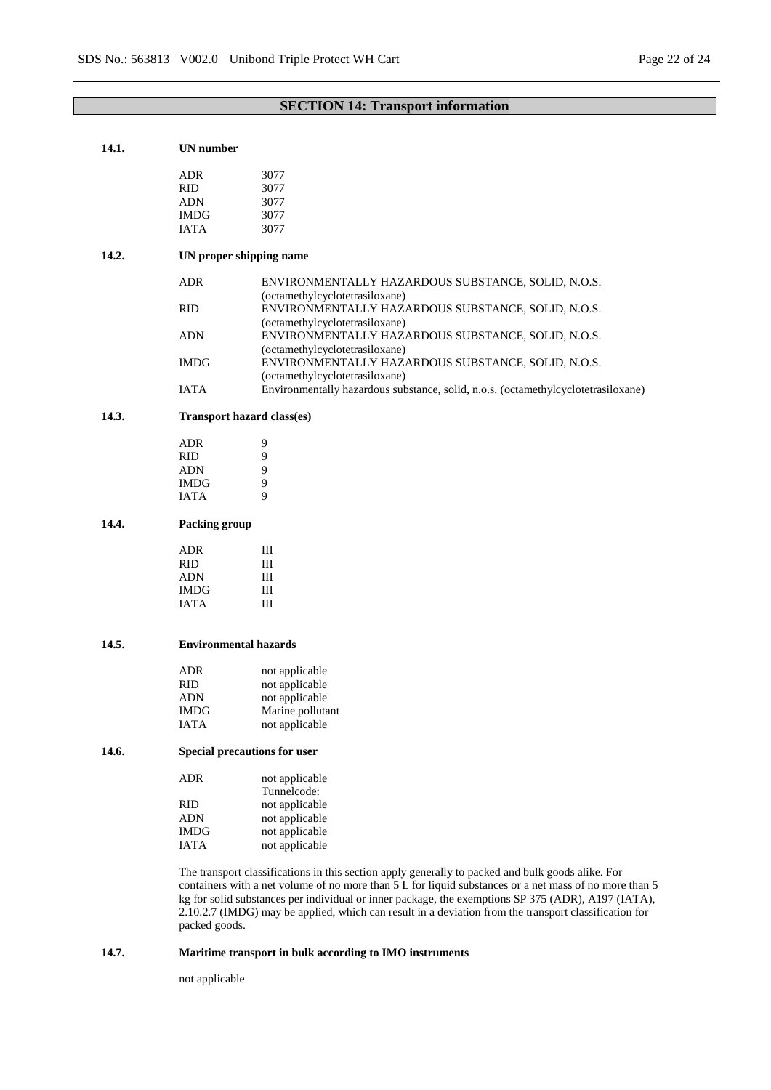# **SECTION 14: Transport information**

| 14.1. | <b>UN</b> number                                                                                   |                                                                                                                                                                                                             |  |  |
|-------|----------------------------------------------------------------------------------------------------|-------------------------------------------------------------------------------------------------------------------------------------------------------------------------------------------------------------|--|--|
|       | <b>ADR</b>                                                                                         | 3077                                                                                                                                                                                                        |  |  |
|       | <b>RID</b>                                                                                         | 3077                                                                                                                                                                                                        |  |  |
|       |                                                                                                    |                                                                                                                                                                                                             |  |  |
|       | <b>ADN</b>                                                                                         | 3077                                                                                                                                                                                                        |  |  |
|       | <b>IMDG</b>                                                                                        | 3077                                                                                                                                                                                                        |  |  |
|       | <b>IATA</b>                                                                                        | 3077                                                                                                                                                                                                        |  |  |
| 14.2. |                                                                                                    | UN proper shipping name                                                                                                                                                                                     |  |  |
|       | <b>ADR</b>                                                                                         | ENVIRONMENTALLY HAZARDOUS SUBSTANCE, SOLID, N.O.S.<br>(octamethylcyclotetrasiloxane)                                                                                                                        |  |  |
|       | <b>RID</b>                                                                                         | ENVIRONMENTALLY HAZARDOUS SUBSTANCE, SOLID, N.O.S.                                                                                                                                                          |  |  |
|       |                                                                                                    | (octamethylcyclotetrasiloxane)                                                                                                                                                                              |  |  |
|       | <b>ADN</b>                                                                                         | ENVIRONMENTALLY HAZARDOUS SUBSTANCE, SOLID, N.O.S.                                                                                                                                                          |  |  |
|       |                                                                                                    | (octamethylcyclotetrasiloxane)                                                                                                                                                                              |  |  |
|       | <b>IMDG</b>                                                                                        | ENVIRONMENTALLY HAZARDOUS SUBSTANCE, SOLID, N.O.S.                                                                                                                                                          |  |  |
|       |                                                                                                    | (octamethylcyclotetrasiloxane)                                                                                                                                                                              |  |  |
|       | <b>IATA</b>                                                                                        | Environmentally hazardous substance, solid, n.o.s. (octamethylcyclotetrasiloxane)                                                                                                                           |  |  |
| 14.3. |                                                                                                    | <b>Transport hazard class(es)</b>                                                                                                                                                                           |  |  |
|       | <b>ADR</b>                                                                                         | 9                                                                                                                                                                                                           |  |  |
|       | <b>RID</b>                                                                                         | 9                                                                                                                                                                                                           |  |  |
|       | <b>ADN</b>                                                                                         | 9                                                                                                                                                                                                           |  |  |
|       | <b>IMDG</b>                                                                                        | 9                                                                                                                                                                                                           |  |  |
|       | IATA                                                                                               | 9                                                                                                                                                                                                           |  |  |
|       |                                                                                                    |                                                                                                                                                                                                             |  |  |
| 14.4. | Packing group                                                                                      |                                                                                                                                                                                                             |  |  |
|       | <b>ADR</b>                                                                                         | Ш                                                                                                                                                                                                           |  |  |
|       | <b>RID</b>                                                                                         | Ш                                                                                                                                                                                                           |  |  |
|       | <b>ADN</b>                                                                                         | Ш                                                                                                                                                                                                           |  |  |
|       | <b>IMDG</b>                                                                                        | Ш                                                                                                                                                                                                           |  |  |
|       | <b>IATA</b>                                                                                        | Ш                                                                                                                                                                                                           |  |  |
|       |                                                                                                    |                                                                                                                                                                                                             |  |  |
| 14.5. | <b>Environmental hazards</b>                                                                       |                                                                                                                                                                                                             |  |  |
|       | <b>ADR</b>                                                                                         | not applicable                                                                                                                                                                                              |  |  |
|       | <b>RID</b>                                                                                         | not applicable                                                                                                                                                                                              |  |  |
|       | ADN                                                                                                | not applicable                                                                                                                                                                                              |  |  |
|       | <b>IMDG</b>                                                                                        | Marine pollutant                                                                                                                                                                                            |  |  |
|       | <b>IATA</b>                                                                                        | not applicable                                                                                                                                                                                              |  |  |
|       |                                                                                                    |                                                                                                                                                                                                             |  |  |
| 14.6. |                                                                                                    | Special precautions for user                                                                                                                                                                                |  |  |
|       | <b>ADR</b>                                                                                         | not applicable<br>Tunnelcode:                                                                                                                                                                               |  |  |
|       | <b>RID</b>                                                                                         | not applicable                                                                                                                                                                                              |  |  |
|       | <b>ADN</b>                                                                                         | not applicable                                                                                                                                                                                              |  |  |
|       | <b>IMDG</b>                                                                                        | not applicable                                                                                                                                                                                              |  |  |
|       | <b>IATA</b>                                                                                        |                                                                                                                                                                                                             |  |  |
|       |                                                                                                    | not applicable                                                                                                                                                                                              |  |  |
|       |                                                                                                    | The transport classifications in this section apply generally to packed and bulk goods alike. For<br>containers with a net volume of no more than 5 L for liquid substances or a net mass of no more than 5 |  |  |
|       | kg for solid substances per individual or inner package, the exemptions SP 375 (ADR), A197 (IATA), |                                                                                                                                                                                                             |  |  |
|       |                                                                                                    | 2.10.2.7 (IMDG) may be applied, which can result in a deviation from the transport classification for                                                                                                       |  |  |
|       | packed goods.                                                                                      |                                                                                                                                                                                                             |  |  |
| 14.7. |                                                                                                    | Maritime transport in bulk according to IMO instruments                                                                                                                                                     |  |  |
|       |                                                                                                    |                                                                                                                                                                                                             |  |  |

not applicable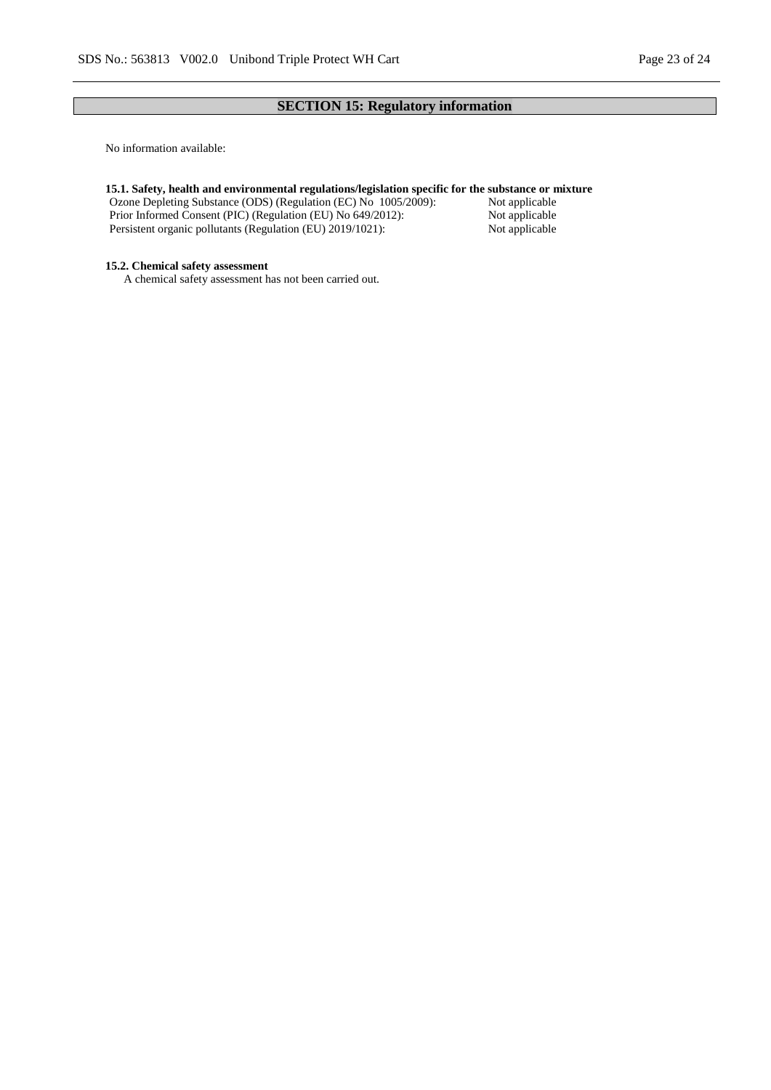# **SECTION 15: Regulatory information**

No information available:

#### **15.1. Safety, health and environmental regulations/legislation specific for the substance or mixture**

Ozone Depleting Substance (ODS) (Regulation (EC) No 1005/2009): Not applicable Prior Informed Consent (PIC) (Regulation (EU) No 649/2012): Not applicable<br>Persistent organic pollutants (Regulation (EU) 2019/1021): Not applicable Persistent organic pollutants (Regulation (EU) 2019/1021):

#### **15.2. Chemical safety assessment**

A chemical safety assessment has not been carried out.